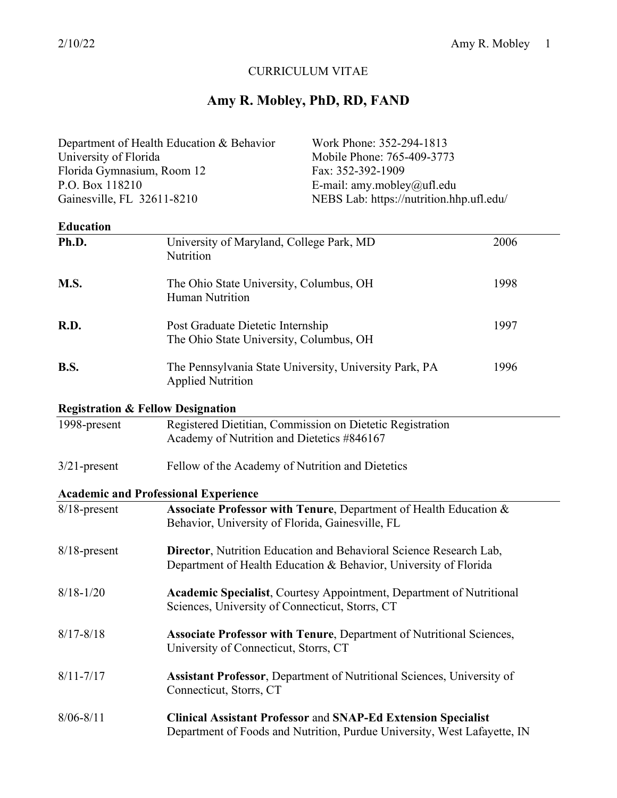# CURRICULUM VITAE

# **Amy R. Mobley, PhD, RD, FAND**

| Department of Health Education & Behavior |                                                                                                                                        | Work Phone: 352-294-1813                                                                                                                         |      |
|-------------------------------------------|----------------------------------------------------------------------------------------------------------------------------------------|--------------------------------------------------------------------------------------------------------------------------------------------------|------|
| University of Florida                     |                                                                                                                                        | Mobile Phone: 765-409-3773                                                                                                                       |      |
| Florida Gymnasium, Room 12                |                                                                                                                                        | Fax: 352-392-1909                                                                                                                                |      |
| P.O. Box 118210                           |                                                                                                                                        | E-mail: amy.mobley@ufl.edu                                                                                                                       |      |
| Gainesville, FL 32611-8210                |                                                                                                                                        | NEBS Lab: https://nutrition.hhp.ufl.edu/                                                                                                         |      |
| <b>Education</b>                          |                                                                                                                                        |                                                                                                                                                  |      |
| Ph.D.                                     | University of Maryland, College Park, MD<br>Nutrition                                                                                  |                                                                                                                                                  | 2006 |
| M.S.                                      | The Ohio State University, Columbus, OH<br>Human Nutrition                                                                             |                                                                                                                                                  | 1998 |
| R.D.                                      | Post Graduate Dietetic Internship<br>The Ohio State University, Columbus, OH                                                           |                                                                                                                                                  | 1997 |
| <b>B.S.</b>                               | <b>Applied Nutrition</b>                                                                                                               | The Pennsylvania State University, University Park, PA                                                                                           | 1996 |
|                                           | <b>Registration &amp; Fellow Designation</b>                                                                                           |                                                                                                                                                  |      |
| 1998-present                              | Academy of Nutrition and Dietetics #846167                                                                                             | Registered Dietitian, Commission on Dietetic Registration                                                                                        |      |
| $3/21$ -present                           | Fellow of the Academy of Nutrition and Dietetics                                                                                       |                                                                                                                                                  |      |
|                                           | <b>Academic and Professional Experience</b>                                                                                            |                                                                                                                                                  |      |
| $8/18$ -present                           | Behavior, University of Florida, Gainesville, FL                                                                                       | Associate Professor with Tenure, Department of Health Education &                                                                                |      |
| $8/18$ -present                           | Director, Nutrition Education and Behavioral Science Research Lab,<br>Department of Health Education & Behavior, University of Florida |                                                                                                                                                  |      |
| $8/18 - 1/20$                             | Academic Specialist, Courtesy Appointment, Department of Nutritional<br>Sciences, University of Connecticut, Storrs, CT                |                                                                                                                                                  |      |
| $8/17 - 8/18$                             | University of Connecticut, Storrs, CT                                                                                                  | <b>Associate Professor with Tenure, Department of Nutritional Sciences,</b>                                                                      |      |
| $8/11 - 7/17$                             | <b>Assistant Professor, Department of Nutritional Sciences, University of</b><br>Connecticut, Storrs, CT                               |                                                                                                                                                  |      |
| $8/06 - 8/11$                             |                                                                                                                                        | <b>Clinical Assistant Professor and SNAP-Ed Extension Specialist</b><br>Department of Foods and Nutrition, Purdue University, West Lafayette, IN |      |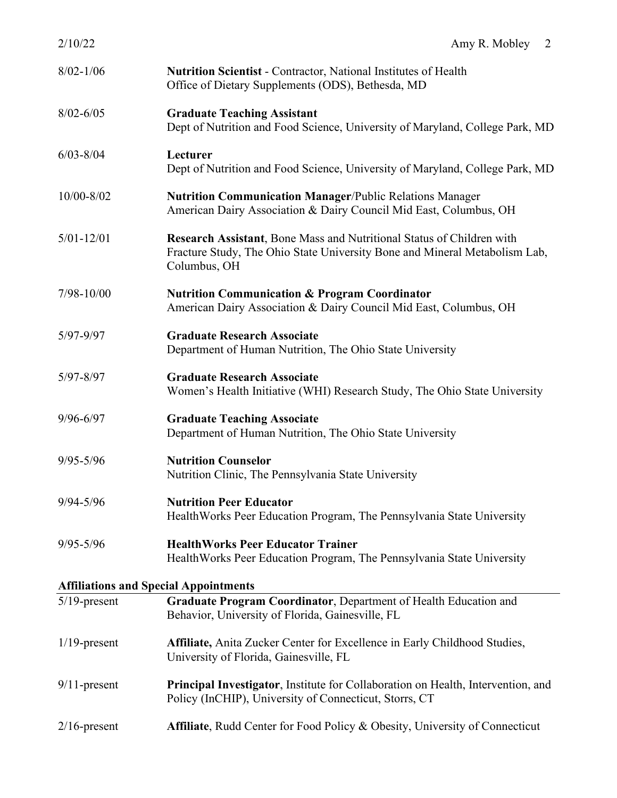| 2/10/22                                      | Amy R. Mobley<br>2                                                                                                                                                  |
|----------------------------------------------|---------------------------------------------------------------------------------------------------------------------------------------------------------------------|
| $8/02 - 1/06$                                | <b>Nutrition Scientist - Contractor, National Institutes of Health</b><br>Office of Dietary Supplements (ODS), Bethesda, MD                                         |
| $8/02 - 6/05$                                | <b>Graduate Teaching Assistant</b><br>Dept of Nutrition and Food Science, University of Maryland, College Park, MD                                                  |
| $6/03 - 8/04$                                | Lecturer<br>Dept of Nutrition and Food Science, University of Maryland, College Park, MD                                                                            |
| 10/00-8/02                                   | <b>Nutrition Communication Manager/Public Relations Manager</b><br>American Dairy Association & Dairy Council Mid East, Columbus, OH                                |
| $5/01 - 12/01$                               | Research Assistant, Bone Mass and Nutritional Status of Children with<br>Fracture Study, The Ohio State University Bone and Mineral Metabolism Lab,<br>Columbus, OH |
| $7/98 - 10/00$                               | <b>Nutrition Communication &amp; Program Coordinator</b><br>American Dairy Association & Dairy Council Mid East, Columbus, OH                                       |
| 5/97-9/97                                    | <b>Graduate Research Associate</b><br>Department of Human Nutrition, The Ohio State University                                                                      |
| $5/97 - 8/97$                                | <b>Graduate Research Associate</b><br>Women's Health Initiative (WHI) Research Study, The Ohio State University                                                     |
| $9/96 - 6/97$                                | <b>Graduate Teaching Associate</b><br>Department of Human Nutrition, The Ohio State University                                                                      |
| $9/95 - 5/96$                                | <b>Nutrition Counselor</b><br>Nutrition Clinic, The Pennsylvania State University                                                                                   |
| $9/94 - 5/96$                                | <b>Nutrition Peer Educator</b><br>Health Works Peer Education Program, The Pennsylvania State University                                                            |
| $9/95 - 5/96$                                | <b>HealthWorks Peer Educator Trainer</b><br>Health Works Peer Education Program, The Pennsylvania State University                                                  |
| <b>Affiliations and Special Appointments</b> |                                                                                                                                                                     |
| $5/19$ -present                              | Graduate Program Coordinator, Department of Health Education and<br>Behavior, University of Florida, Gainesville, FL                                                |
| $1/19$ -present                              | Affiliate, Anita Zucker Center for Excellence in Early Childhood Studies,<br>University of Florida, Gainesville, FL                                                 |
| $9/11$ -present                              | <b>Principal Investigator, Institute for Collaboration on Health, Intervention, and</b><br>Policy (InCHIP), University of Connecticut, Storrs, CT                   |
| $2/16$ -present                              | <b>Affiliate, Rudd Center for Food Policy &amp; Obesity, University of Connecticut</b>                                                                              |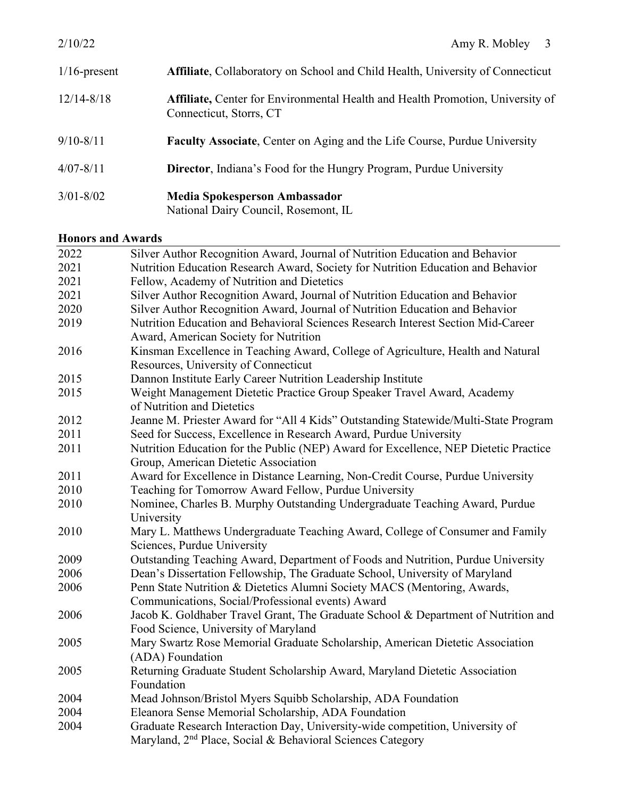| $1/16$ -present | <b>Affiliate, Collaboratory on School and Child Health, University of Connecticut</b>                            |
|-----------------|------------------------------------------------------------------------------------------------------------------|
| $12/14 - 8/18$  | <b>Affiliate, Center for Environmental Health and Health Promotion, University of</b><br>Connecticut, Storrs, CT |
| $9/10 - 8/11$   | <b>Faculty Associate, Center on Aging and the Life Course, Purdue University</b>                                 |
| $4/07 - 8/11$   | <b>Director</b> , Indiana's Food for the Hungry Program, Purdue University                                       |
| $3/01 - 8/02$   | Media Spokesperson Ambassador<br>National Dairy Council, Rosemont, IL                                            |

# **Honors and Awards**

| поногу ани түүдгиз |                                                                                      |  |
|--------------------|--------------------------------------------------------------------------------------|--|
| 2022               | Silver Author Recognition Award, Journal of Nutrition Education and Behavior         |  |
| 2021               | Nutrition Education Research Award, Society for Nutrition Education and Behavior     |  |
| 2021               | Fellow, Academy of Nutrition and Dietetics                                           |  |
| 2021               | Silver Author Recognition Award, Journal of Nutrition Education and Behavior         |  |
| 2020               | Silver Author Recognition Award, Journal of Nutrition Education and Behavior         |  |
| 2019               | Nutrition Education and Behavioral Sciences Research Interest Section Mid-Career     |  |
|                    | Award, American Society for Nutrition                                                |  |
| 2016               | Kinsman Excellence in Teaching Award, College of Agriculture, Health and Natural     |  |
|                    | Resources, University of Connecticut                                                 |  |
| 2015               | Dannon Institute Early Career Nutrition Leadership Institute                         |  |
| 2015               | Weight Management Dietetic Practice Group Speaker Travel Award, Academy              |  |
|                    | of Nutrition and Dietetics                                                           |  |
| 2012               | Jeanne M. Priester Award for "All 4 Kids" Outstanding Statewide/Multi-State Program  |  |
| 2011               | Seed for Success, Excellence in Research Award, Purdue University                    |  |
| 2011               | Nutrition Education for the Public (NEP) Award for Excellence, NEP Dietetic Practice |  |
|                    | Group, American Dietetic Association                                                 |  |
| 2011               | Award for Excellence in Distance Learning, Non-Credit Course, Purdue University      |  |
| 2010               | Teaching for Tomorrow Award Fellow, Purdue University                                |  |
| 2010               | Nominee, Charles B. Murphy Outstanding Undergraduate Teaching Award, Purdue          |  |
|                    | University                                                                           |  |
| 2010               | Mary L. Matthews Undergraduate Teaching Award, College of Consumer and Family        |  |
|                    | Sciences, Purdue University                                                          |  |
| 2009               | Outstanding Teaching Award, Department of Foods and Nutrition, Purdue University     |  |
| 2006               | Dean's Dissertation Fellowship, The Graduate School, University of Maryland          |  |
| 2006               | Penn State Nutrition & Dietetics Alumni Society MACS (Mentoring, Awards,             |  |
|                    | Communications, Social/Professional events) Award                                    |  |
| 2006               | Jacob K. Goldhaber Travel Grant, The Graduate School & Department of Nutrition and   |  |
|                    | Food Science, University of Maryland                                                 |  |
| 2005               | Mary Swartz Rose Memorial Graduate Scholarship, American Dietetic Association        |  |
|                    | (ADA) Foundation                                                                     |  |
| 2005               | Returning Graduate Student Scholarship Award, Maryland Dietetic Association          |  |
|                    | Foundation                                                                           |  |
| 2004               | Mead Johnson/Bristol Myers Squibb Scholarship, ADA Foundation                        |  |
| 2004               | Eleanora Sense Memorial Scholarship, ADA Foundation                                  |  |
| 2004               | Graduate Research Interaction Day, University-wide competition, University of        |  |
|                    | Maryland, 2 <sup>nd</sup> Place, Social & Behavioral Sciences Category               |  |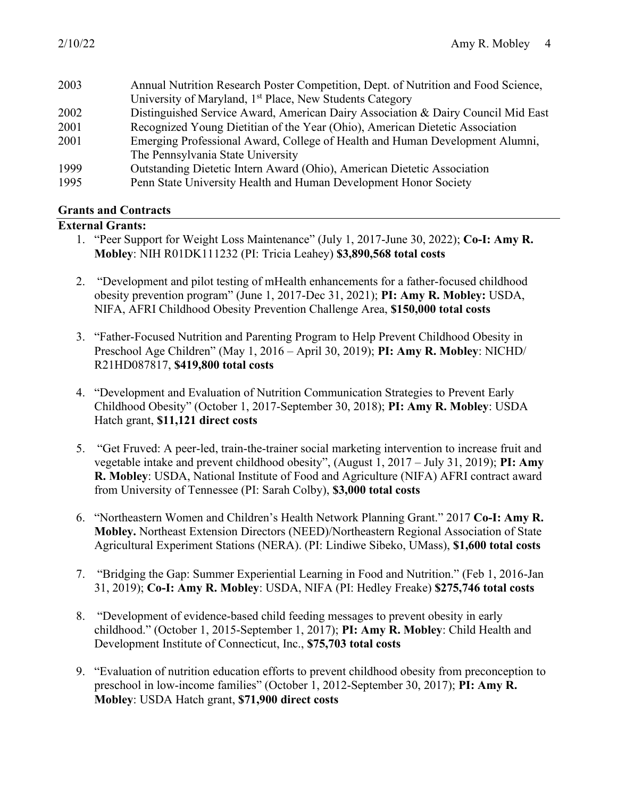| 2003 | Annual Nutrition Research Poster Competition, Dept. of Nutrition and Food Science, |
|------|------------------------------------------------------------------------------------|
|      | University of Maryland, 1 <sup>st</sup> Place, New Students Category               |
| 2002 | Distinguished Service Award, American Dairy Association & Dairy Council Mid East   |
| 2001 | Recognized Young Dietitian of the Year (Ohio), American Dietetic Association       |
| 2001 | Emerging Professional Award, College of Health and Human Development Alumni,       |
|      | The Pennsylvania State University                                                  |
| 1999 | Outstanding Dietetic Intern Award (Ohio), American Dietetic Association            |
| 1995 | Penn State University Health and Human Development Honor Society                   |
|      |                                                                                    |

#### **Grants and Contracts**

#### **External Grants:**

- 1. "Peer Support for Weight Loss Maintenance" (July 1, 2017-June 30, 2022); **Co-I: Amy R. Mobley**: NIH R01DK111232 (PI: Tricia Leahey) **\$3,890,568 total costs**
- 2. "Development and pilot testing of mHealth enhancements for a father-focused childhood obesity prevention program" (June 1, 2017-Dec 31, 2021); **PI: Amy R. Mobley:** USDA, NIFA, AFRI Childhood Obesity Prevention Challenge Area, **\$150,000 total costs**
- 3. "Father-Focused Nutrition and Parenting Program to Help Prevent Childhood Obesity in Preschool Age Children" (May 1, 2016 – April 30, 2019); **PI: Amy R. Mobley**: NICHD/ R21HD087817, **\$419,800 total costs**
- 4. "Development and Evaluation of Nutrition Communication Strategies to Prevent Early Childhood Obesity" (October 1, 2017-September 30, 2018); **PI: Amy R. Mobley**: USDA Hatch grant, **\$11,121 direct costs**
- 5. "Get Fruved: A peer-led, train-the-trainer social marketing intervention to increase fruit and vegetable intake and prevent childhood obesity", (August 1, 2017 – July 31, 2019); **PI: Amy R. Mobley**: USDA, National Institute of Food and Agriculture (NIFA) AFRI contract award from University of Tennessee (PI: Sarah Colby), **\$3,000 total costs**
- 6. "Northeastern Women and Children's Health Network Planning Grant." 2017 **Co-I: Amy R. Mobley.** Northeast Extension Directors (NEED)/Northeastern Regional Association of State Agricultural Experiment Stations (NERA). (PI: Lindiwe Sibeko, UMass), **\$1,600 total costs**
- 7. "Bridging the Gap: Summer Experiential Learning in Food and Nutrition." (Feb 1, 2016-Jan 31, 2019); **Co-I: Amy R. Mobley**: USDA, NIFA (PI: Hedley Freake) **\$275,746 total costs**
- 8. "Development of evidence-based child feeding messages to prevent obesity in early childhood." (October 1, 2015-September 1, 2017); **PI: Amy R. Mobley**: Child Health and Development Institute of Connecticut, Inc., **\$75,703 total costs**
- 9. "Evaluation of nutrition education efforts to prevent childhood obesity from preconception to preschool in low-income families" (October 1, 2012-September 30, 2017); **PI: Amy R. Mobley**: USDA Hatch grant, **\$71,900 direct costs**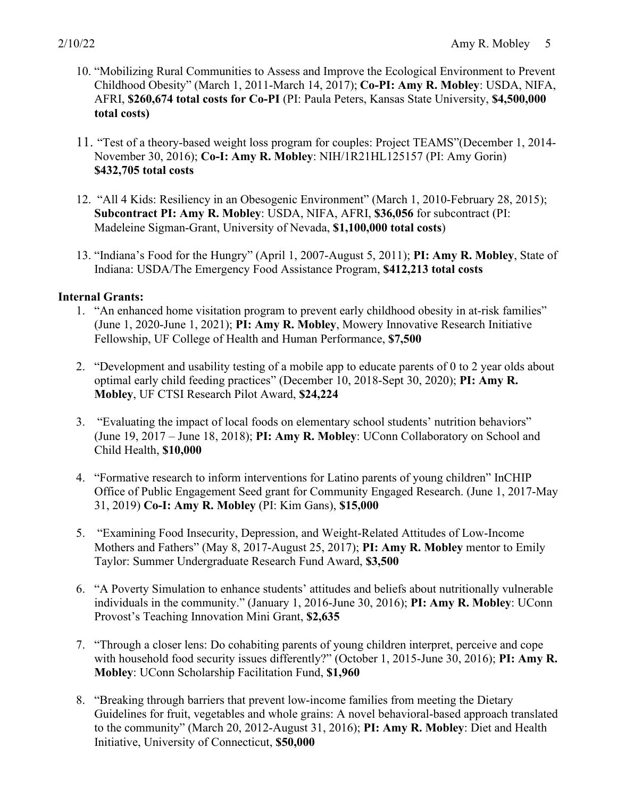- 10. "Mobilizing Rural Communities to Assess and Improve the Ecological Environment to Prevent Childhood Obesity" (March 1, 2011-March 14, 2017); **Co-PI: Amy R. Mobley**: USDA, NIFA, AFRI, **\$260,674 total costs for Co-PI** (PI: Paula Peters, Kansas State University, **\$4,500,000 total costs)**
- 11. "Test of a theory-based weight loss program for couples: Project TEAMS"(December 1, 2014- November 30, 2016); **Co-I: Amy R. Mobley**: NIH/1R21HL125157 (PI: Amy Gorin) **\$432,705 total costs**
- 12. "All 4 Kids: Resiliency in an Obesogenic Environment" (March 1, 2010-February 28, 2015); **Subcontract PI: Amy R. Mobley**: USDA, NIFA, AFRI, **\$36,056** for subcontract (PI: Madeleine Sigman-Grant, University of Nevada, **\$1,100,000 total costs**)
- 13. "Indiana's Food for the Hungry" (April 1, 2007-August 5, 2011); **PI: Amy R. Mobley**, State of Indiana: USDA/The Emergency Food Assistance Program, **\$412,213 total costs**

#### **Internal Grants:**

- 1. "An enhanced home visitation program to prevent early childhood obesity in at-risk families" (June 1, 2020-June 1, 2021); **PI: Amy R. Mobley**, Mowery Innovative Research Initiative Fellowship, UF College of Health and Human Performance, **\$7,500**
- 2. "Development and usability testing of a mobile app to educate parents of 0 to 2 year olds about optimal early child feeding practices" (December 10, 2018-Sept 30, 2020); **PI: Amy R. Mobley**, UF CTSI Research Pilot Award, **\$24,224**
- 3. "Evaluating the impact of local foods on elementary school students' nutrition behaviors" (June 19, 2017 – June 18, 2018); **PI: Amy R. Mobley**: UConn Collaboratory on School and Child Health, **\$10,000**
- 4. "Formative research to inform interventions for Latino parents of young children" InCHIP Office of Public Engagement Seed grant for Community Engaged Research. (June 1, 2017-May 31, 2019) **Co-I: Amy R. Mobley** (PI: Kim Gans), **\$15,000**
- 5. "Examining Food Insecurity, Depression, and Weight-Related Attitudes of Low-Income Mothers and Fathers" (May 8, 2017-August 25, 2017); **PI: Amy R. Mobley** mentor to Emily Taylor: Summer Undergraduate Research Fund Award, **\$3,500**
- 6. "A Poverty Simulation to enhance students' attitudes and beliefs about nutritionally vulnerable individuals in the community." (January 1, 2016-June 30, 2016); **PI: Amy R. Mobley**: UConn Provost's Teaching Innovation Mini Grant, **\$2,635**
- 7. "Through a closer lens: Do cohabiting parents of young children interpret, perceive and cope with household food security issues differently?" (October 1, 2015-June 30, 2016); **PI: Amy R. Mobley**: UConn Scholarship Facilitation Fund, **\$1,960**
- 8. "Breaking through barriers that prevent low-income families from meeting the Dietary Guidelines for fruit, vegetables and whole grains: A novel behavioral-based approach translated to the community" (March 20, 2012-August 31, 2016); **PI: Amy R. Mobley**: Diet and Health Initiative, University of Connecticut, **\$50,000**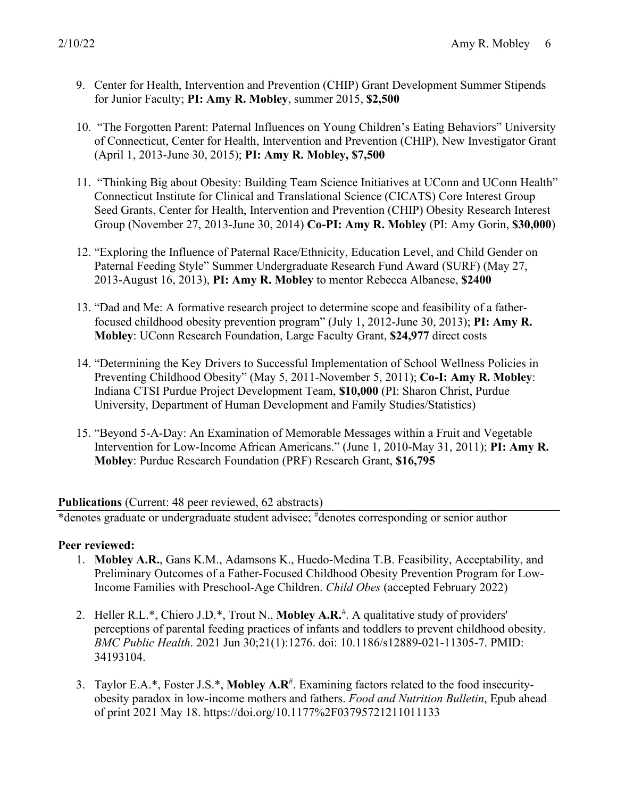- 9. Center for Health, Intervention and Prevention (CHIP) Grant Development Summer Stipends for Junior Faculty; **PI: Amy R. Mobley**, summer 2015, **\$2,500**
- 10. "The Forgotten Parent: Paternal Influences on Young Children's Eating Behaviors" University of Connecticut, Center for Health, Intervention and Prevention (CHIP), New Investigator Grant (April 1, 2013-June 30, 2015); **PI: Amy R. Mobley, \$7,500**
- 11. "Thinking Big about Obesity: Building Team Science Initiatives at UConn and UConn Health" Connecticut Institute for Clinical and Translational Science (CICATS) Core Interest Group Seed Grants, Center for Health, Intervention and Prevention (CHIP) Obesity Research Interest Group (November 27, 2013-June 30, 2014) **Co-PI: Amy R. Mobley** (PI: Amy Gorin, **\$30,000**)
- 12. "Exploring the Influence of Paternal Race/Ethnicity, Education Level, and Child Gender on Paternal Feeding Style" Summer Undergraduate Research Fund Award (SURF) (May 27, 2013-August 16, 2013), **PI: Amy R. Mobley** to mentor Rebecca Albanese, **\$2400**
- 13. "Dad and Me: A formative research project to determine scope and feasibility of a fatherfocused childhood obesity prevention program" (July 1, 2012-June 30, 2013); **PI: Amy R. Mobley**: UConn Research Foundation, Large Faculty Grant, **\$24,977** direct costs
- 14. "Determining the Key Drivers to Successful Implementation of School Wellness Policies in Preventing Childhood Obesity" (May 5, 2011-November 5, 2011); **Co-I: Amy R. Mobley**: Indiana CTSI Purdue Project Development Team, **\$10,000** (PI: Sharon Christ, Purdue University, Department of Human Development and Family Studies/Statistics)
- 15. "Beyond 5-A-Day: An Examination of Memorable Messages within a Fruit and Vegetable Intervention for Low-Income African Americans." (June 1, 2010-May 31, 2011); **PI: Amy R. Mobley**: Purdue Research Foundation (PRF) Research Grant, **\$16,795**

#### **Publications** (Current: 48 peer reviewed, 62 abstracts)

\*denotes graduate or undergraduate student advisee; # denotes corresponding or senior author

#### **Peer reviewed:**

- 1. **Mobley A.R.**, Gans K.M., Adamsons K., Huedo-Medina T.B. Feasibility, Acceptability, and Preliminary Outcomes of a Father-Focused Childhood Obesity Prevention Program for Low-Income Families with Preschool-Age Children. *Child Obes* (accepted February 2022)
- 2. Heller R.L.\*, Chiero J.D.\*, Trout N., **Mobley A.R.** # . A qualitative study of providers' perceptions of parental feeding practices of infants and toddlers to prevent childhood obesity. *BMC Public Health*. 2021 Jun 30;21(1):1276. doi: 10.1186/s12889-021-11305-7. PMID: 34193104.
- 3. Taylor E.A.\*, Foster J.S.\*, Mobley A.R<sup>#</sup>. Examining factors related to the food insecurityobesity paradox in low-income mothers and fathers. *Food and Nutrition Bulletin*, Epub ahead of print 2021 May 18. https://doi.org/10.1177%2F03795721211011133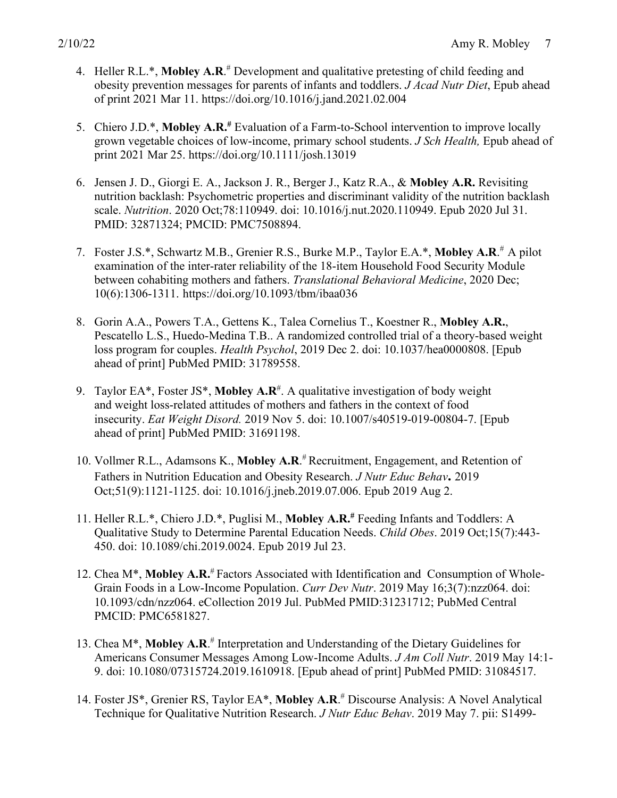- 4. Heller R.L.\*, Mobley A.R.<sup>#</sup> Development and qualitative pretesting of child feeding and obesity prevention messages for parents of infants and toddlers. *J Acad Nutr Diet*, Epub ahead of print 2021 Mar 11. https://doi.org/10.1016/j.jand.2021.02.004
- 5. Chiero J.D.\*, **Mobley A.R.#** Evaluation of a Farm-to-School intervention to improve locally grown vegetable choices of low-income, primary school students. *J Sch Health,* Epub ahead of print 2021 Mar 25. https://doi.org/10.1111/josh.13019
- 6. Jensen J. D., Giorgi E. A., Jackson J. R., Berger J., Katz R.A., & **Mobley A.R.** Revisiting nutrition backlash: Psychometric properties and discriminant validity of the nutrition backlash scale. *Nutrition*. 2020 Oct;78:110949. doi: 10.1016/j.nut.2020.110949. Epub 2020 Jul 31. PMID: 32871324; PMCID: PMC7508894.
- 7. Foster J.S.\*, Schwartz M.B., Grenier R.S., Burke M.P., Taylor E.A.\*, **Mobley A.R**. # A pilot examination of the inter-rater reliability of the 18-item Household Food Security Module between cohabiting mothers and fathers. *Translational Behavioral Medicine*, 2020 Dec; 10(6):1306-1311. https://doi.org/10.1093/tbm/ibaa036
- 8. Gorin A.A., Powers T.A., Gettens K., Talea Cornelius T., Koestner R., **Mobley A.R.**, Pescatello L.S., Huedo-Medina T.B.. A randomized controlled trial of a theory-based weight loss program for couples. *Health Psychol*, 2019 Dec 2. doi: 10.1037/hea0000808. [Epub ahead of print] PubMed PMID: 31789558.
- 9. Taylor EA\*, Foster JS\*, Mobley A.R<sup>#</sup>. A qualitative investigation of body weight and weight loss-related attitudes of mothers and fathers in the context of food insecurity. *Eat Weight Disord.* 2019 Nov 5. doi: 10.1007/s40519-019-00804-7. [Epub ahead of print] PubMed PMID: 31691198.
- 10. Vollmer R.L., Adamsons K., **Mobley A.R**. # Recruitment, Engagement, and Retention of Fathers in Nutrition Education and Obesity Research. *J Nutr Educ Behav***.** 2019 Oct;51(9):1121-1125. doi: 10.1016/j.jneb.2019.07.006. Epub 2019 Aug 2.
- 11. Heller R.L.\*, Chiero J.D.\*, Puglisi M., **Mobley A.R.#** Feeding Infants and Toddlers: A Qualitative Study to Determine Parental Education Needs. *Child Obes*. 2019 Oct;15(7):443- 450. doi: 10.1089/chi.2019.0024. Epub 2019 Jul 23.
- 12. Chea M<sup>\*</sup>, Mobley A.R.<sup>#</sup> Factors Associated with Identification and Consumption of Whole-Grain Foods in a Low-Income Population. *Curr Dev Nutr*. 2019 May 16;3(7):nzz064. doi: 10.1093/cdn/nzz064. eCollection 2019 Jul. PubMed PMID:31231712; PubMed Central PMCID: PMC6581827.
- 13. Chea M\*, **Mobley A.R**. # Interpretation and Understanding of the Dietary Guidelines for Americans Consumer Messages Among Low-Income Adults. *J Am Coll Nutr*. 2019 May 14:1- 9. doi: 10.1080/07315724.2019.1610918. [Epub ahead of print] PubMed PMID: 31084517.
- 14. Foster JS\*, Grenier RS, Taylor EA\*, **Mobley A.R**. # Discourse Analysis: A Novel Analytical Technique for Qualitative Nutrition Research. *J Nutr Educ Behav*. 2019 May 7. pii: S1499-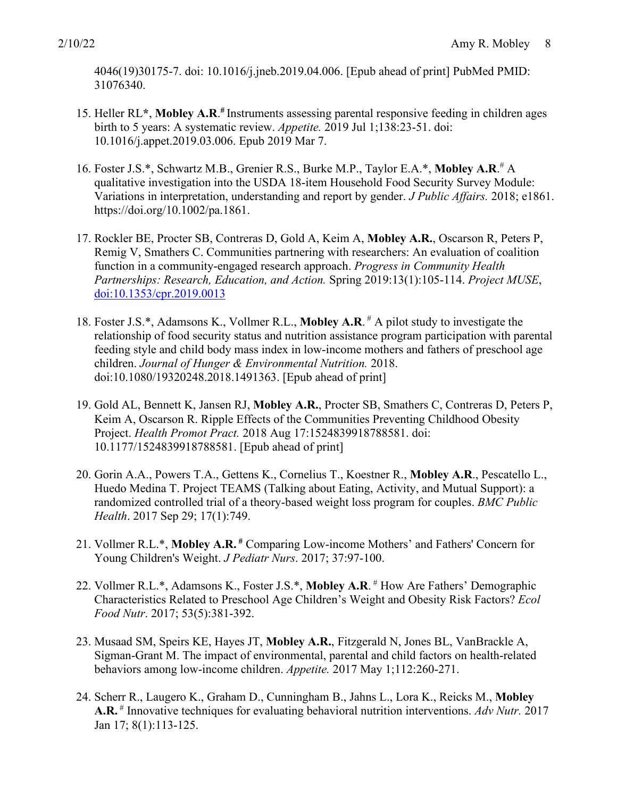4046(19)30175-7. doi: 10.1016/j.jneb.2019.04.006. [Epub ahead of print] PubMed PMID: 31076340.

- 15. Heller RL**\***, **Mobley A.R**. **#** Instruments assessing parental responsive feeding in children ages birth to 5 years: A systematic review. *Appetite.* 2019 Jul 1;138:23-51. doi: 10.1016/j.appet.2019.03.006. Epub 2019 Mar 7.
- 16. Foster J.S.\*, Schwartz M.B., Grenier R.S., Burke M.P., Taylor E.A.\*, **Mobley A.R**. # A qualitative investigation into the USDA 18-item Household Food Security Survey Module: Variations in interpretation, understanding and report by gender. *J Public Affairs.* 2018; e1861. https://doi.org/10.1002/pa.1861.
- 17. Rockler BE, Procter SB, Contreras D, Gold A, Keim A, **Mobley A.R.**, Oscarson R, Peters P, Remig V, Smathers C. Communities partnering with researchers: An evaluation of coalition function in a community-engaged research approach. *Progress in Community Health Partnerships: Research, Education, and Action.* Spring 2019:13(1):105-114. *Project MUSE*, doi:10.1353/cpr.2019.0013
- 18. Foster J.S.\*, Adamsons K., Vollmer R.L., **Mobley A.R**. # A pilot study to investigate the relationship of food security status and nutrition assistance program participation with parental feeding style and child body mass index in low-income mothers and fathers of preschool age children. *Journal of Hunger & Environmental Nutrition.* 2018. doi:10.1080/19320248.2018.1491363. [Epub ahead of print]
- 19. Gold AL, Bennett K, Jansen RJ, **Mobley A.R.**, Procter SB, Smathers C, Contreras D, Peters P, Keim A, Oscarson R. Ripple Effects of the Communities Preventing Childhood Obesity Project. *Health Promot Pract.* 2018 Aug 17:1524839918788581. doi: 10.1177/1524839918788581. [Epub ahead of print]
- 20. Gorin A.A., Powers T.A., Gettens K., Cornelius T., Koestner R., **Mobley A.R**., Pescatello L., Huedo Medina T. Project TEAMS (Talking about Eating, Activity, and Mutual Support): a randomized controlled trial of a theory-based weight loss program for couples. *BMC Public Health*. 2017 Sep 29; 17(1):749.
- 21. Vollmer R.L.\*, **Mobley A.R. #** Comparing Low-income Mothers' and Fathers' Concern for Young Children's Weight. *J Pediatr Nurs*. 2017; 37:97-100.
- 22. Vollmer R.L.\*, Adamsons K., Foster J.S.\*, **Mobley A.R**. # How Are Fathers' Demographic Characteristics Related to Preschool Age Children's Weight and Obesity Risk Factors? *Ecol Food Nutr*. 2017; 53(5):381-392.
- 23. Musaad SM, Speirs KE, Hayes JT, **Mobley A.R.**, Fitzgerald N, Jones BL, VanBrackle A, Sigman-Grant M. The impact of environmental, parental and child factors on health-related behaviors among low-income children. *Appetite.* 2017 May 1;112:260-271.
- 24. Scherr R., Laugero K., Graham D., Cunningham B., Jahns L., Lora K., Reicks M., **Mobley A.R.** # Innovative techniques for evaluating behavioral nutrition interventions. *Adv Nutr.* 2017 Jan 17; 8(1):113-125.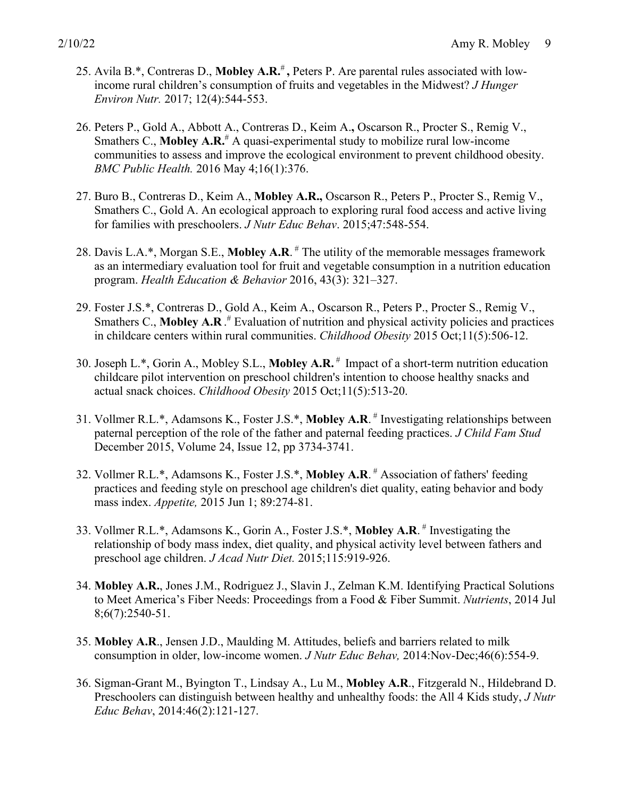- 25. Avila B.\*, Contreras D., **Mobley A.R.**# **,** Peters P. Are parental rules associated with lowincome rural children's consumption of fruits and vegetables in the Midwest? *J Hunger Environ Nutr.* 2017; 12(4):544-553.
- 26. Peters P., Gold A., Abbott A., Contreras D., Keim A.**,** Oscarson R., Procter S., Remig V., Smathers C., **Mobley A.R.**# A quasi-experimental study to mobilize rural low-income communities to assess and improve the ecological environment to prevent childhood obesity. *BMC Public Health.* 2016 May 4;16(1):376.
- 27. Buro B., Contreras D., Keim A., **Mobley A.R.,** Oscarson R., Peters P., Procter S., Remig V., Smathers C., Gold A. An ecological approach to exploring rural food access and active living for families with preschoolers. *J Nutr Educ Behav*. 2015;47:548-554.
- 28. Davis L.A.<sup>\*</sup>, Morgan S.E., **Mobley A.R.** <sup>#</sup> The utility of the memorable messages framework as an intermediary evaluation tool for fruit and vegetable consumption in a nutrition education program. *Health Education & Behavior* 2016, 43(3): 321–327.
- 29. Foster J.S.\*, Contreras D., Gold A., Keim A., Oscarson R., Peters P., Procter S., Remig V., Smathers C., Mobley A.R.<sup>#</sup> Evaluation of nutrition and physical activity policies and practices in childcare centers within rural communities. *Childhood Obesity* 2015 Oct;11(5):506-12.
- 30. Joseph L.\*, Gorin A., Mobley S.L., **Mobley A.R.** # Impact of a short-term nutrition education childcare pilot intervention on preschool children's intention to choose healthy snacks and actual snack choices. *Childhood Obesity* 2015 Oct;11(5):513-20.
- 31. Vollmer R.L.\*, Adamsons K., Foster J.S.\*, **Mobley A.R**. # Investigating relationships between paternal perception of the role of the father and paternal feeding practices. *J Child Fam Stud* December 2015, Volume 24, Issue 12, pp 3734-3741.
- 32. Vollmer R.L.\*, Adamsons K., Foster J.S.\*, **Mobley A.R**. # Association of fathers' feeding practices and feeding style on preschool age children's diet quality, eating behavior and body mass index. *Appetite,* 2015 Jun 1; 89:274-81.
- 33. Vollmer R.L.\*, Adamsons K., Gorin A., Foster J.S.\*, **Mobley A.R**. # Investigating the relationship of body mass index, diet quality, and physical activity level between fathers and preschool age children. *J Acad Nutr Diet.* 2015;115:919-926.
- 34. **Mobley A.R.**, Jones J.M., Rodriguez J., Slavin J., Zelman K.M. Identifying Practical Solutions to Meet America's Fiber Needs: Proceedings from a Food & Fiber Summit. *Nutrients*, 2014 Jul 8;6(7):2540-51.
- 35. **Mobley A.R**., Jensen J.D., Maulding M. Attitudes, beliefs and barriers related to milk consumption in older, low-income women. *J Nutr Educ Behav,* 2014:Nov-Dec;46(6):554-9.
- 36. Sigman-Grant M., Byington T., Lindsay A., Lu M., **Mobley A.R**., Fitzgerald N., Hildebrand D. Preschoolers can distinguish between healthy and unhealthy foods: the All 4 Kids study, *J Nutr Educ Behav*, 2014:46(2):121-127.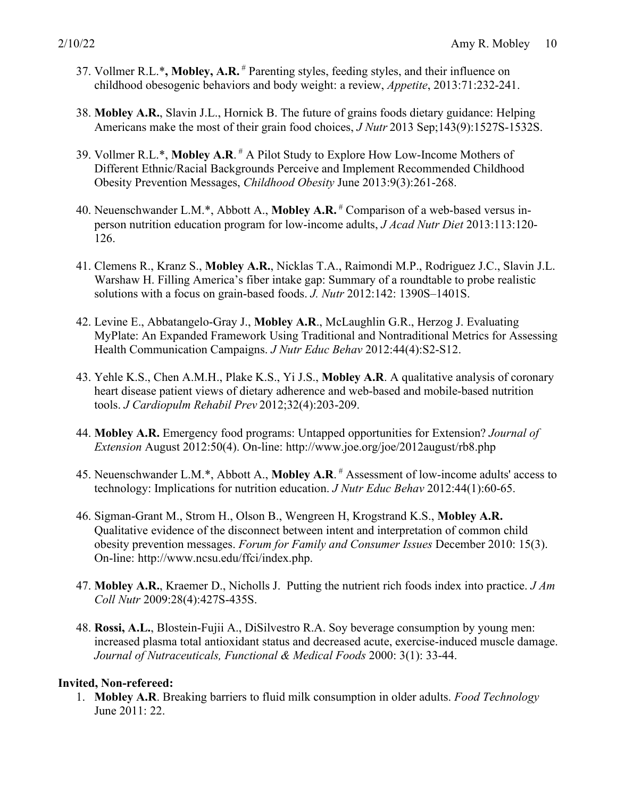- 37. Vollmer R.L.\***, Mobley, A.R.** # Parenting styles, feeding styles, and their influence on childhood obesogenic behaviors and body weight: a review, *Appetite*, 2013:71:232-241.
- 38. **Mobley A.R.**, Slavin J.L., Hornick B. The future of grains foods dietary guidance: Helping Americans make the most of their grain food choices, *J Nutr* 2013 Sep;143(9):1527S-1532S.
- 39. Vollmer R.L.\*, **Mobley A.R**. # A Pilot Study to Explore How Low-Income Mothers of Different Ethnic/Racial Backgrounds Perceive and Implement Recommended Childhood Obesity Prevention Messages, *Childhood Obesity* June 2013:9(3):261-268.
- 40. Neuenschwander L.M.\*, Abbott A., **Mobley A.R.** # Comparison of a web-based versus inperson nutrition education program for low-income adults, *J Acad Nutr Diet* 2013:113:120- 126.
- 41. Clemens R., Kranz S., **Mobley A.R.**, Nicklas T.A., Raimondi M.P., Rodriguez J.C., Slavin J.L. Warshaw H. Filling America's fiber intake gap: Summary of a roundtable to probe realistic solutions with a focus on grain-based foods. *J. Nutr* 2012:142: 1390S–1401S.
- 42. Levine E., Abbatangelo-Gray J., **Mobley A.R**., McLaughlin G.R., Herzog J. Evaluating MyPlate: An Expanded Framework Using Traditional and Nontraditional Metrics for Assessing Health Communication Campaigns. *J Nutr Educ Behav* 2012:44(4):S2-S12.
- 43. Yehle K.S., Chen A.M.H., Plake K.S., Yi J.S., **Mobley A.R**. A qualitative analysis of coronary heart disease patient views of dietary adherence and web-based and mobile-based nutrition tools. *J Cardiopulm Rehabil Prev* 2012;32(4):203-209.
- 44. **Mobley A.R.** Emergency food programs: Untapped opportunities for Extension? *Journal of Extension* August 2012:50(4). On-line: http://www.joe.org/joe/2012august/rb8.php
- 45. Neuenschwander L.M.\*, Abbott A., **Mobley A.R**. # Assessment of low-income adults' access to technology: Implications for nutrition education. *J Nutr Educ Behav* 2012:44(1):60-65.
- 46. Sigman-Grant M., Strom H., Olson B., Wengreen H, Krogstrand K.S., **Mobley A.R.** Qualitative evidence of the disconnect between intent and interpretation of common child obesity prevention messages. *Forum for Family and Consumer Issues* December 2010: 15(3). On-line: http://www.ncsu.edu/ffci/index.php.
- 47. **Mobley A.R.**, Kraemer D., Nicholls J. Putting the nutrient rich foods index into practice. *J Am Coll Nutr* 2009:28(4):427S-435S.
- 48. **Rossi, A.L.**, Blostein-Fujii A., DiSilvestro R.A. Soy beverage consumption by young men: increased plasma total antioxidant status and decreased acute, exercise-induced muscle damage. *Journal of Nutraceuticals, Functional & Medical Foods* 2000: 3(1): 33-44.

#### **Invited, Non-refereed:**

1. **Mobley A.R**. Breaking barriers to fluid milk consumption in older adults. *Food Technology* June 2011: 22.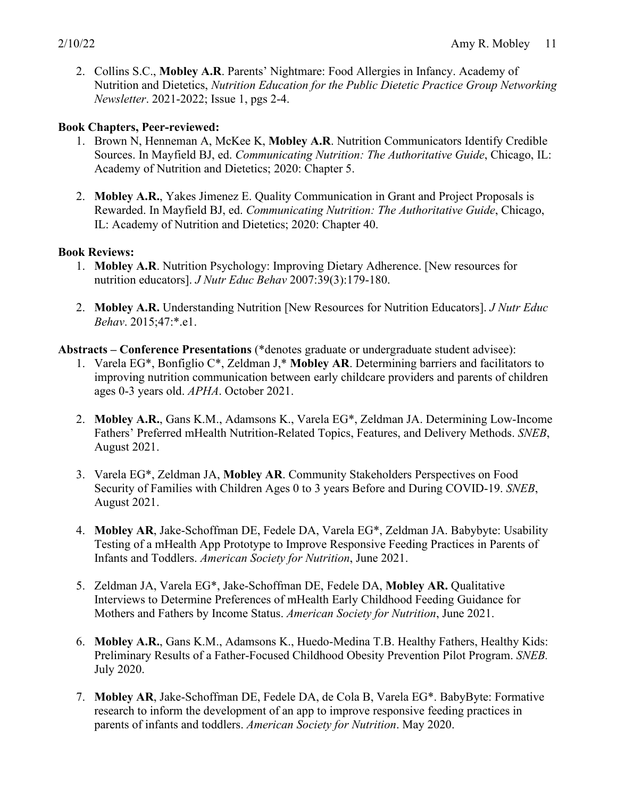2. Collins S.C., **Mobley A.R**. Parents' Nightmare: Food Allergies in Infancy. Academy of Nutrition and Dietetics, *Nutrition Education for the Public Dietetic Practice Group Networking Newsletter*. 2021-2022; Issue 1, pgs 2-4.

#### **Book Chapters, Peer-reviewed:**

- 1. Brown N, Henneman A, McKee K, **Mobley A.R**. Nutrition Communicators Identify Credible Sources. In Mayfield BJ, ed. *Communicating Nutrition: The Authoritative Guide*, Chicago, IL: Academy of Nutrition and Dietetics; 2020: Chapter 5.
- 2. **Mobley A.R.**, Yakes Jimenez E. Quality Communication in Grant and Project Proposals is Rewarded. In Mayfield BJ, ed. *Communicating Nutrition: The Authoritative Guide*, Chicago, IL: Academy of Nutrition and Dietetics; 2020: Chapter 40.

#### **Book Reviews:**

- 1. **Mobley A.R**. Nutrition Psychology: Improving Dietary Adherence. [New resources for nutrition educators]. *J Nutr Educ Behav* 2007:39(3):179-180.
- 2. **Mobley A.R.** Understanding Nutrition [New Resources for Nutrition Educators]. *J Nutr Educ Behav*. 2015;47:\*.e1.

#### **Abstracts – Conference Presentations** (\*denotes graduate or undergraduate student advisee):

- 1. Varela EG\*, Bonfiglio C\*, Zeldman J,\* **Mobley AR**. Determining barriers and facilitators to improving nutrition communication between early childcare providers and parents of children ages 0-3 years old. *APHA*. October 2021.
- 2. **Mobley A.R.**, Gans K.M., Adamsons K., Varela EG\*, Zeldman JA. Determining Low-Income Fathers' Preferred mHealth Nutrition-Related Topics, Features, and Delivery Methods. *SNEB*, August 2021.
- 3. Varela EG\*, Zeldman JA, **Mobley AR**. Community Stakeholders Perspectives on Food Security of Families with Children Ages 0 to 3 years Before and During COVID-19. *SNEB*, August 2021.
- 4. **Mobley AR**, Jake-Schoffman DE, Fedele DA, Varela EG\*, Zeldman JA. Babybyte: Usability Testing of a mHealth App Prototype to Improve Responsive Feeding Practices in Parents of Infants and Toddlers. *American Society for Nutrition*, June 2021.
- 5. Zeldman JA, Varela EG\*, Jake-Schoffman DE, Fedele DA, **Mobley AR.** Qualitative Interviews to Determine Preferences of mHealth Early Childhood Feeding Guidance for Mothers and Fathers by Income Status. *American Society for Nutrition*, June 2021.
- 6. **Mobley A.R.**, Gans K.M., Adamsons K., Huedo-Medina T.B. Healthy Fathers, Healthy Kids: Preliminary Results of a Father-Focused Childhood Obesity Prevention Pilot Program. *SNEB.*  July 2020.
- 7. **Mobley AR**, Jake-Schoffman DE, Fedele DA, de Cola B, Varela EG\*. BabyByte: Formative research to inform the development of an app to improve responsive feeding practices in parents of infants and toddlers. *American Society for Nutrition*. May 2020.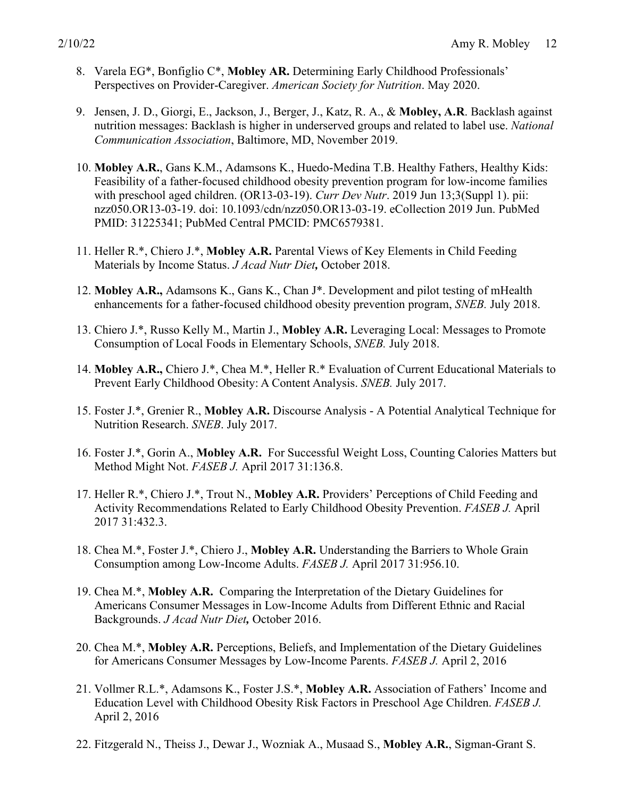- 8. Varela EG\*, Bonfiglio C\*, **Mobley AR.** Determining Early Childhood Professionals' Perspectives on Provider-Caregiver. *American Society for Nutrition*. May 2020.
- 9. Jensen, J. D., Giorgi, E., Jackson, J., Berger, J., Katz, R. A., & **Mobley, A.R**. Backlash against nutrition messages: Backlash is higher in underserved groups and related to label use. *National Communication Association*, Baltimore, MD, November 2019.
- 10. **Mobley A.R.**, Gans K.M., Adamsons K., Huedo-Medina T.B. Healthy Fathers, Healthy Kids: Feasibility of a father-focused childhood obesity prevention program for low-income families with preschool aged children. (OR13-03-19). *Curr Dev Nutr*. 2019 Jun 13;3(Suppl 1). pii: nzz050.OR13-03-19. doi: 10.1093/cdn/nzz050.OR13-03-19. eCollection 2019 Jun. PubMed PMID: 31225341; PubMed Central PMCID: PMC6579381.
- 11. Heller R.\*, Chiero J.\*, **Mobley A.R.** Parental Views of Key Elements in Child Feeding Materials by Income Status. *J Acad Nutr Diet,* October 2018.
- 12. **Mobley A.R.,** Adamsons K., Gans K., Chan J\*. Development and pilot testing of mHealth enhancements for a father-focused childhood obesity prevention program, *SNEB.* July 2018.
- 13. Chiero J.\*, Russo Kelly M., Martin J., **Mobley A.R.** Leveraging Local: Messages to Promote Consumption of Local Foods in Elementary Schools, *SNEB.* July 2018.
- 14. **Mobley A.R.,** Chiero J.\*, Chea M.\*, Heller R.\* Evaluation of Current Educational Materials to Prevent Early Childhood Obesity: A Content Analysis. *SNEB.* July 2017.
- 15. Foster J.\*, Grenier R., **Mobley A.R.** Discourse Analysis A Potential Analytical Technique for Nutrition Research. *SNEB*. July 2017.
- 16. Foster J.\*, Gorin A., **Mobley A.R.** For Successful Weight Loss, Counting Calories Matters but Method Might Not. *FASEB J.* April 2017 31:136.8.
- 17. Heller R.\*, Chiero J.\*, Trout N., **Mobley A.R.** Providers' Perceptions of Child Feeding and Activity Recommendations Related to Early Childhood Obesity Prevention. *FASEB J.* April 2017 31:432.3.
- 18. Chea M.\*, Foster J.\*, Chiero J., **Mobley A.R.** Understanding the Barriers to Whole Grain Consumption among Low-Income Adults. *FASEB J.* April 2017 31:956.10.
- 19. Chea M.\*, **Mobley A.R.** Comparing the Interpretation of the Dietary Guidelines for Americans Consumer Messages in Low-Income Adults from Different Ethnic and Racial Backgrounds. *J Acad Nutr Diet,* October 2016.
- 20. Chea M.\*, **Mobley A.R.** Perceptions, Beliefs, and Implementation of the Dietary Guidelines for Americans Consumer Messages by Low-Income Parents. *FASEB J.* April 2, 2016
- 21. Vollmer R.L.\*, Adamsons K., Foster J.S.\*, **Mobley A.R.** Association of Fathers' Income and Education Level with Childhood Obesity Risk Factors in Preschool Age Children. *FASEB J.* April 2, 2016
- 22. Fitzgerald N., Theiss J., Dewar J., Wozniak A., Musaad S., **Mobley A.R.**, Sigman-Grant S.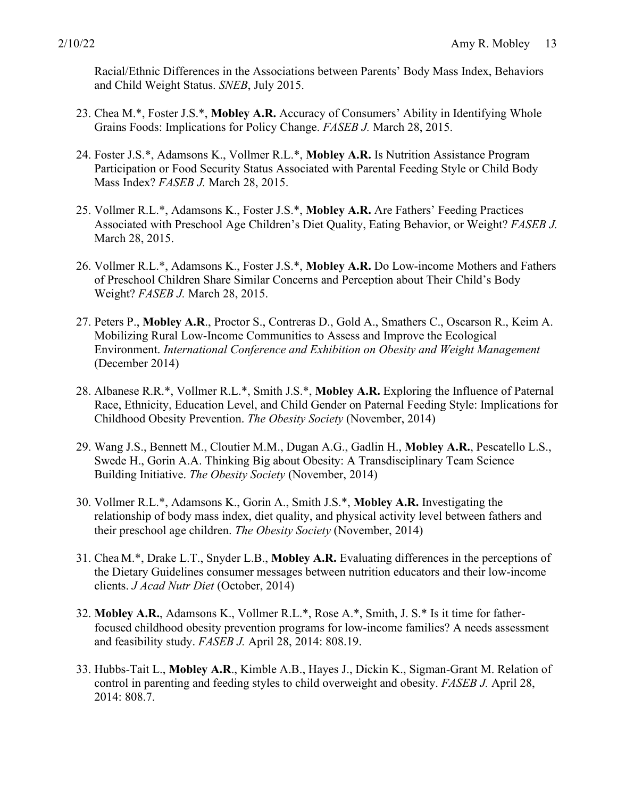Racial/Ethnic Differences in the Associations between Parents' Body Mass Index, Behaviors and Child Weight Status. *SNEB*, July 2015.

- 23. Chea M.\*, Foster J.S.\*, **Mobley A.R.** Accuracy of Consumers' Ability in Identifying Whole Grains Foods: Implications for Policy Change. *FASEB J.* March 28, 2015.
- 24. Foster J.S.\*, Adamsons K., Vollmer R.L.\*, **Mobley A.R.** Is Nutrition Assistance Program Participation or Food Security Status Associated with Parental Feeding Style or Child Body Mass Index? *FASEB J.* March 28, 2015.
- 25. Vollmer R.L.\*, Adamsons K., Foster J.S.\*, **Mobley A.R.** Are Fathers' Feeding Practices Associated with Preschool Age Children's Diet Quality, Eating Behavior, or Weight? *FASEB J.* March 28, 2015.
- 26. Vollmer R.L.\*, Adamsons K., Foster J.S.\*, **Mobley A.R.** Do Low-income Mothers and Fathers of Preschool Children Share Similar Concerns and Perception about Their Child's Body Weight? *FASEB J.* March 28, 2015.
- 27. Peters P., **Mobley A.R**., Proctor S., Contreras D., Gold A., Smathers C., Oscarson R., Keim A. Mobilizing Rural Low-Income Communities to Assess and Improve the Ecological Environment. *International Conference and Exhibition on Obesity and Weight Management* (December 2014)
- 28. Albanese R.R.\*, Vollmer R.L.\*, Smith J.S.\*, **Mobley A.R.** Exploring the Influence of Paternal Race, Ethnicity, Education Level, and Child Gender on Paternal Feeding Style: Implications for Childhood Obesity Prevention. *The Obesity Society* (November, 2014)
- 29. Wang J.S., Bennett M., Cloutier M.M., Dugan A.G., Gadlin H., **Mobley A.R.**, Pescatello L.S., Swede H., Gorin A.A. Thinking Big about Obesity: A Transdisciplinary Team Science Building Initiative. *The Obesity Society* (November, 2014)
- 30. Vollmer R.L.\*, Adamsons K., Gorin A., Smith J.S.\*, **Mobley A.R.** Investigating the relationship of body mass index, diet quality, and physical activity level between fathers and their preschool age children. *The Obesity Society* (November, 2014)
- 31. Chea M.\*, Drake L.T., Snyder L.B., **Mobley A.R.** Evaluating differences in the perceptions of the Dietary Guidelines consumer messages between nutrition educators and their low-income clients. *J Acad Nutr Diet* (October, 2014)
- 32. **Mobley A.R.**, Adamsons K., Vollmer R.L.\*, Rose A.\*, Smith, J. S.\* Is it time for fatherfocused childhood obesity prevention programs for low-income families? A needs assessment and feasibility study. *FASEB J.* April 28, 2014: 808.19.
- 33. Hubbs-Tait L., **Mobley A.R**., Kimble A.B., Hayes J., Dickin K., Sigman-Grant M. Relation of control in parenting and feeding styles to child overweight and obesity. *FASEB J.* April 28, 2014: 808.7.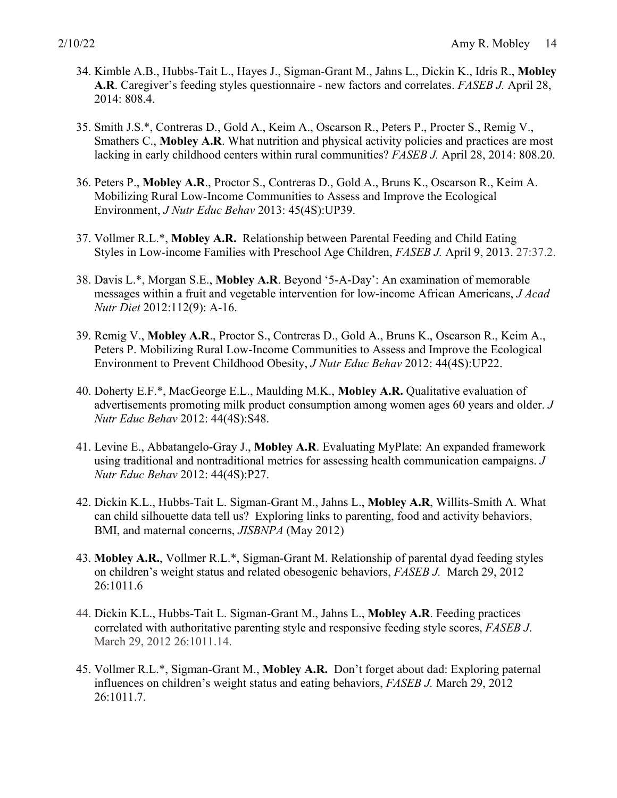- 34. Kimble A.B., Hubbs-Tait L., Hayes J., Sigman-Grant M., Jahns L., Dickin K., Idris R., **Mobley A.R**. Caregiver's feeding styles questionnaire - new factors and correlates. *FASEB J.* April 28, 2014: 808.4.
- 35. Smith J.S.\*, Contreras D., Gold A., Keim A., Oscarson R., Peters P., Procter S., Remig V., Smathers C., **Mobley A.R**. What nutrition and physical activity policies and practices are most lacking in early childhood centers within rural communities? *FASEB J.* April 28, 2014: 808.20.
- 36. Peters P., **Mobley A.R**., Proctor S., Contreras D., Gold A., Bruns K., Oscarson R., Keim A. Mobilizing Rural Low-Income Communities to Assess and Improve the Ecological Environment, *J Nutr Educ Behav* 2013: 45(4S):UP39.
- 37. Vollmer R.L.\*, **Mobley A.R.** Relationship between Parental Feeding and Child Eating Styles in Low-income Families with Preschool Age Children, *FASEB J.* April 9, 2013. 27:37.2.
- 38. Davis L.\*, Morgan S.E., **Mobley A.R**. Beyond '5-A-Day': An examination of memorable messages within a fruit and vegetable intervention for low-income African Americans, *J Acad Nutr Diet* 2012:112(9): A-16.
- 39. Remig V., **Mobley A.R**., Proctor S., Contreras D., Gold A., Bruns K., Oscarson R., Keim A., Peters P. Mobilizing Rural Low-Income Communities to Assess and Improve the Ecological Environment to Prevent Childhood Obesity, *J Nutr Educ Behav* 2012: 44(4S):UP22.
- 40. Doherty E.F.\*, MacGeorge E.L., Maulding M.K., **Mobley A.R.** Qualitative evaluation of advertisements promoting milk product consumption among women ages 60 years and older. *J Nutr Educ Behav* 2012: 44(4S):S48.
- 41. Levine E., Abbatangelo-Gray J., **Mobley A.R**. Evaluating MyPlate: An expanded framework using traditional and nontraditional metrics for assessing health communication campaigns. *J Nutr Educ Behav* 2012: 44(4S):P27.
- 42. Dickin K.L., Hubbs-Tait L. Sigman-Grant M., Jahns L., **Mobley A.R**, Willits-Smith A. What can child silhouette data tell us? Exploring links to parenting, food and activity behaviors, BMI, and maternal concerns, *JISBNPA* (May 2012)
- 43. **Mobley A.R.**, Vollmer R.L.\*, Sigman-Grant M. Relationship of parental dyad feeding styles on children's weight status and related obesogenic behaviors, *FASEB J.* March 29, 2012 26:1011.6
- 44. Dickin K.L., Hubbs-Tait L. Sigman-Grant M., Jahns L., **Mobley A.R**. Feeding practices correlated with authoritative parenting style and responsive feeding style scores, *FASEB J*. March 29, 2012 26:1011.14.
- 45. Vollmer R.L.\*, Sigman-Grant M., **Mobley A.R.** Don't forget about dad: Exploring paternal influences on children's weight status and eating behaviors, *FASEB J.* March 29, 2012 26:1011.7.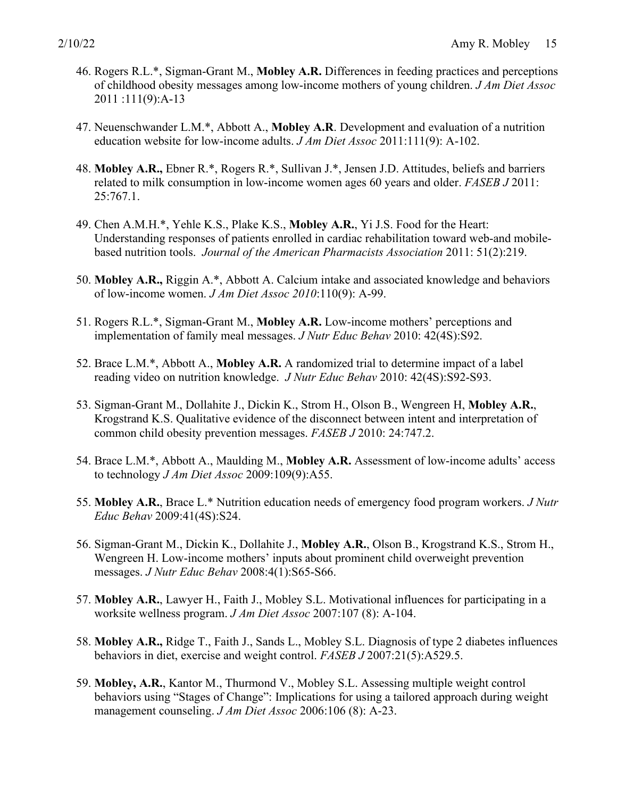- 46. Rogers R.L.\*, Sigman-Grant M., **Mobley A.R.** Differences in feeding practices and perceptions of childhood obesity messages among low-income mothers of young children. *J Am Diet Assoc* 2011 :111(9):A-13
- 47. Neuenschwander L.M.\*, Abbott A., **Mobley A.R**. Development and evaluation of a nutrition education website for low-income adults. *J Am Diet Assoc* 2011:111(9): A-102.
- 48. **Mobley A.R.,** Ebner R.\*, Rogers R.\*, Sullivan J.\*, Jensen J.D. Attitudes, beliefs and barriers related to milk consumption in low-income women ages 60 years and older. *FASEB J* 2011: 25:767.1.
- 49. Chen A.M.H.\*, Yehle K.S., Plake K.S., **Mobley A.R.**, Yi J.S. Food for the Heart: Understanding responses of patients enrolled in cardiac rehabilitation toward web-and mobilebased nutrition tools. *Journal of the American Pharmacists Association* 2011: 51(2):219.
- 50. **Mobley A.R.,** Riggin A.\*, Abbott A. Calcium intake and associated knowledge and behaviors of low-income women. *J Am Diet Assoc 2010*:110(9): A-99.
- 51. Rogers R.L.\*, Sigman-Grant M., **Mobley A.R.** Low-income mothers' perceptions and implementation of family meal messages. *J Nutr Educ Behav* 2010: 42(4S):S92.
- 52. Brace L.M.\*, Abbott A., **Mobley A.R.** A randomized trial to determine impact of a label reading video on nutrition knowledge. *J Nutr Educ Behav* 2010: 42(4S):S92-S93.
- 53. Sigman-Grant M., Dollahite J., Dickin K., Strom H., Olson B., Wengreen H, **Mobley A.R.**, Krogstrand K.S. Qualitative evidence of the disconnect between intent and interpretation of common child obesity prevention messages. *FASEB J* 2010: 24:747.2.
- 54. Brace L.M.\*, Abbott A., Maulding M., **Mobley A.R.** Assessment of low-income adults' access to technology *J Am Diet Assoc* 2009:109(9):A55.
- 55. **Mobley A.R.**, Brace L.\* Nutrition education needs of emergency food program workers. *J Nutr Educ Behav* 2009:41(4S):S24.
- 56. Sigman-Grant M., Dickin K., Dollahite J., **Mobley A.R.**, Olson B., Krogstrand K.S., Strom H., Wengreen H. Low-income mothers' inputs about prominent child overweight prevention messages. *J Nutr Educ Behav* 2008:4(1):S65-S66.
- 57. **Mobley A.R.**, Lawyer H., Faith J., Mobley S.L. Motivational influences for participating in a worksite wellness program. *J Am Diet Assoc* 2007:107 (8): A-104.
- 58. **Mobley A.R.,** Ridge T., Faith J., Sands L., Mobley S.L. Diagnosis of type 2 diabetes influences behaviors in diet, exercise and weight control. *FASEB J* 2007:21(5):A529.5.
- 59. **Mobley, A.R.**, Kantor M., Thurmond V., Mobley S.L. Assessing multiple weight control behaviors using "Stages of Change": Implications for using a tailored approach during weight management counseling. *J Am Diet Assoc* 2006:106 (8): A-23.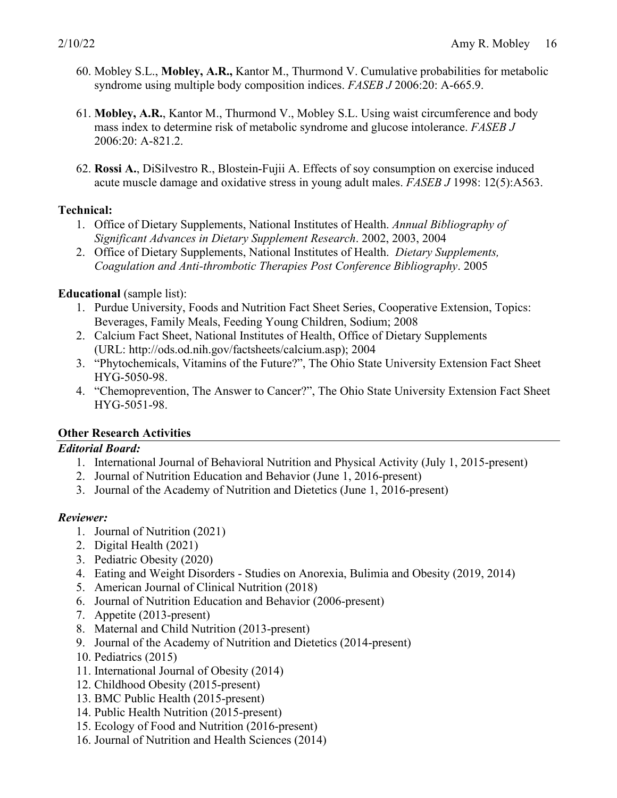- 60. Mobley S.L., **Mobley, A.R.,** Kantor M., Thurmond V. Cumulative probabilities for metabolic syndrome using multiple body composition indices. *FASEB J* 2006:20: A-665.9.
- 61. **Mobley, A.R.**, Kantor M., Thurmond V., Mobley S.L. Using waist circumference and body mass index to determine risk of metabolic syndrome and glucose intolerance. *FASEB J* 2006:20: A-821.2.
- 62. **Rossi A.**, DiSilvestro R., Blostein-Fujii A. Effects of soy consumption on exercise induced acute muscle damage and oxidative stress in young adult males. *FASEB J* 1998: 12(5):A563.

#### **Technical:**

- 1. Office of Dietary Supplements, National Institutes of Health. *Annual Bibliography of Significant Advances in Dietary Supplement Research*. 2002, 2003, 2004
- 2. Office of Dietary Supplements, National Institutes of Health. *Dietary Supplements, Coagulation and Anti-thrombotic Therapies Post Conference Bibliography*. 2005

#### **Educational** (sample list):

- 1. Purdue University, Foods and Nutrition Fact Sheet Series, Cooperative Extension, Topics: Beverages, Family Meals, Feeding Young Children, Sodium; 2008
- 2. Calcium Fact Sheet, National Institutes of Health, Office of Dietary Supplements (URL: http://ods.od.nih.gov/factsheets/calcium.asp); 2004
- 3. "Phytochemicals, Vitamins of the Future?", The Ohio State University Extension Fact Sheet HYG-5050-98.
- 4. "Chemoprevention, The Answer to Cancer?", The Ohio State University Extension Fact Sheet HYG-5051-98.

#### **Other Research Activities**

#### *Editorial Board:*

- 1. International Journal of Behavioral Nutrition and Physical Activity (July 1, 2015-present)
- 2. Journal of Nutrition Education and Behavior (June 1, 2016-present)
- 3. Journal of the Academy of Nutrition and Dietetics (June 1, 2016-present)

#### *Reviewer:*

- 1. Journal of Nutrition (2021)
- 2. Digital Health (2021)
- 3. Pediatric Obesity (2020)
- 4. Eating and Weight Disorders Studies on Anorexia, Bulimia and Obesity (2019, 2014)
- 5. American Journal of Clinical Nutrition (2018)
- 6. Journal of Nutrition Education and Behavior (2006-present)
- 7. Appetite (2013-present)
- 8. Maternal and Child Nutrition (2013-present)
- 9. Journal of the Academy of Nutrition and Dietetics (2014-present)
- 10. Pediatrics (2015)
- 11. International Journal of Obesity (2014)
- 12. Childhood Obesity (2015-present)
- 13. BMC Public Health (2015-present)
- 14. Public Health Nutrition (2015-present)
- 15. Ecology of Food and Nutrition (2016-present)
- 16. Journal of Nutrition and Health Sciences (2014)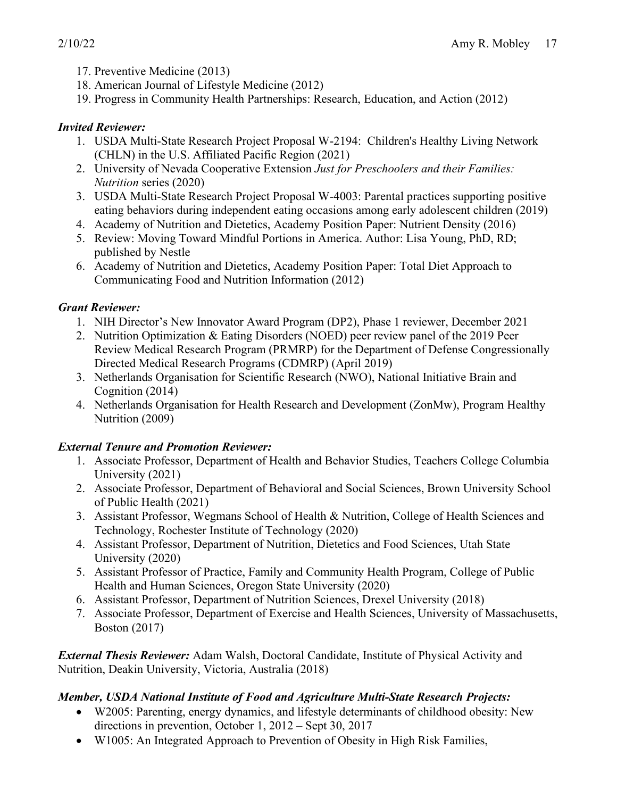- 17. Preventive Medicine (2013)
- 18. American Journal of Lifestyle Medicine (2012)
- 19. Progress in Community Health Partnerships: Research, Education, and Action (2012)

# *Invited Reviewer:*

- 1. USDA Multi-State Research Project Proposal W-2194: Children's Healthy Living Network (CHLN) in the U.S. Affiliated Pacific Region (2021)
- 2. University of Nevada Cooperative Extension *Just for Preschoolers and their Families: Nutrition* series (2020)
- 3. USDA Multi-State Research Project Proposal W-4003: Parental practices supporting positive eating behaviors during independent eating occasions among early adolescent children (2019)
- 4. Academy of Nutrition and Dietetics, Academy Position Paper: Nutrient Density (2016)
- 5. Review: Moving Toward Mindful Portions in America. Author: Lisa Young, PhD, RD; published by Nestle
- 6. Academy of Nutrition and Dietetics, Academy Position Paper: Total Diet Approach to Communicating Food and Nutrition Information (2012)

# *Grant Reviewer:*

- 1. NIH Director's New Innovator Award Program (DP2), Phase 1 reviewer, December 2021
- 2. Nutrition Optimization & Eating Disorders (NOED) peer review panel of the 2019 Peer Review Medical Research Program (PRMRP) for the Department of Defense Congressionally Directed Medical Research Programs (CDMRP) (April 2019)
- 3. Netherlands Organisation for Scientific Research (NWO), National Initiative Brain and Cognition (2014)
- 4. Netherlands Organisation for Health Research and Development (ZonMw), Program Healthy Nutrition (2009)

# *External Tenure and Promotion Reviewer:*

- 1. Associate Professor, Department of Health and Behavior Studies, Teachers College Columbia University (2021)
- 2. Associate Professor, Department of Behavioral and Social Sciences, Brown University School of Public Health (2021)
- 3. Assistant Professor, Wegmans School of Health & Nutrition, College of Health Sciences and Technology, Rochester Institute of Technology (2020)
- 4. Assistant Professor, Department of Nutrition, Dietetics and Food Sciences, Utah State University (2020)
- 5. Assistant Professor of Practice, Family and Community Health Program, College of Public Health and Human Sciences, Oregon State University (2020)
- 6. Assistant Professor, Department of Nutrition Sciences, Drexel University (2018)
- 7. Associate Professor, Department of Exercise and Health Sciences, University of Massachusetts, Boston (2017)

*External Thesis Reviewer:* Adam Walsh, Doctoral Candidate, Institute of Physical Activity and Nutrition, Deakin University, Victoria, Australia (2018)

# *Member, USDA National Institute of Food and Agriculture Multi-State Research Projects:*

- W2005: Parenting, energy dynamics, and lifestyle determinants of childhood obesity: New directions in prevention, October 1, 2012 – Sept 30, 2017
- W1005: An Integrated Approach to Prevention of Obesity in High Risk Families,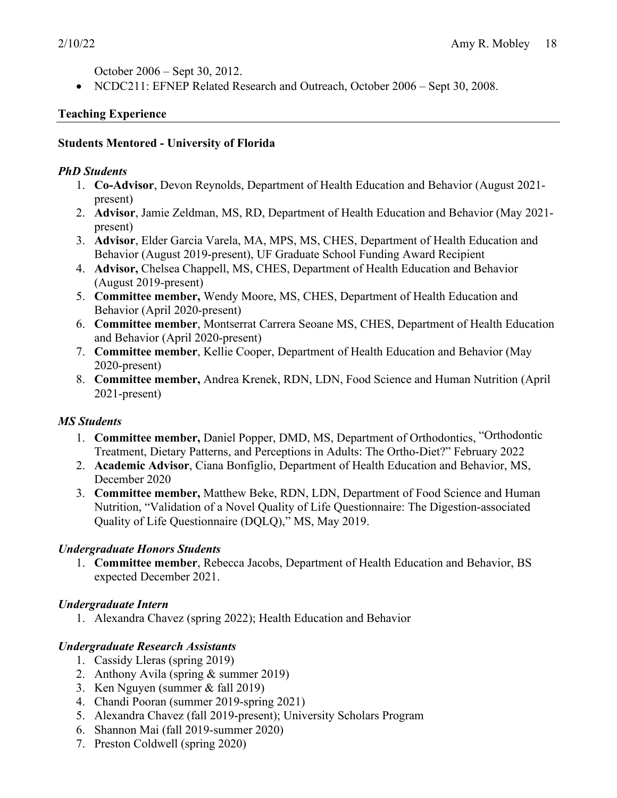October 2006 – Sept 30, 2012.

• NCDC211: EFNEP Related Research and Outreach, October 2006 – Sept 30, 2008.

### **Teaching Experience**

#### **Students Mentored - University of Florida**

#### *PhD Students*

- 1. **Co-Advisor**, Devon Reynolds, Department of Health Education and Behavior (August 2021 present)
- 2. **Advisor**, Jamie Zeldman, MS, RD, Department of Health Education and Behavior (May 2021 present)
- 3. **Advisor**, Elder Garcia Varela, MA, MPS, MS, CHES, Department of Health Education and Behavior (August 2019-present), UF Graduate School Funding Award Recipient
- 4. **Advisor,** Chelsea Chappell, MS, CHES, Department of Health Education and Behavior (August 2019-present)
- 5. **Committee member,** Wendy Moore, MS, CHES, Department of Health Education and Behavior (April 2020-present)
- 6. **Committee member**, Montserrat Carrera Seoane MS, CHES, Department of Health Education and Behavior (April 2020-present)
- 7. **Committee member**, Kellie Cooper, Department of Health Education and Behavior (May 2020-present)
- 8. **Committee member,** Andrea Krenek, RDN, LDN, Food Science and Human Nutrition (April 2021-present)

# *MS Students*

- 1. **Committee member,** Daniel Popper, DMD, MS, Department of Orthodontics, "Orthodontic Treatment, Dietary Patterns, and Perceptions in Adults: The Ortho-Diet?" February 2022
- 2. **Academic Advisor**, Ciana Bonfiglio, Department of Health Education and Behavior, MS, December 2020
- 3. **Committee member,** Matthew Beke, RDN, LDN, Department of Food Science and Human Nutrition, "Validation of a Novel Quality of Life Questionnaire: The Digestion-associated Quality of Life Questionnaire (DQLQ)," MS, May 2019.

# *Undergraduate Honors Students*

1. **Committee member**, Rebecca Jacobs, Department of Health Education and Behavior, BS expected December 2021.

# *Undergraduate Intern*

1. Alexandra Chavez (spring 2022); Health Education and Behavior

# *Undergraduate Research Assistants*

- 1. Cassidy Lleras (spring 2019)
- 2. Anthony Avila (spring & summer 2019)
- 3. Ken Nguyen (summer & fall 2019)
- 4. Chandi Pooran (summer 2019-spring 2021)
- 5. Alexandra Chavez (fall 2019-present); University Scholars Program
- 6. Shannon Mai (fall 2019-summer 2020)
- 7. Preston Coldwell (spring 2020)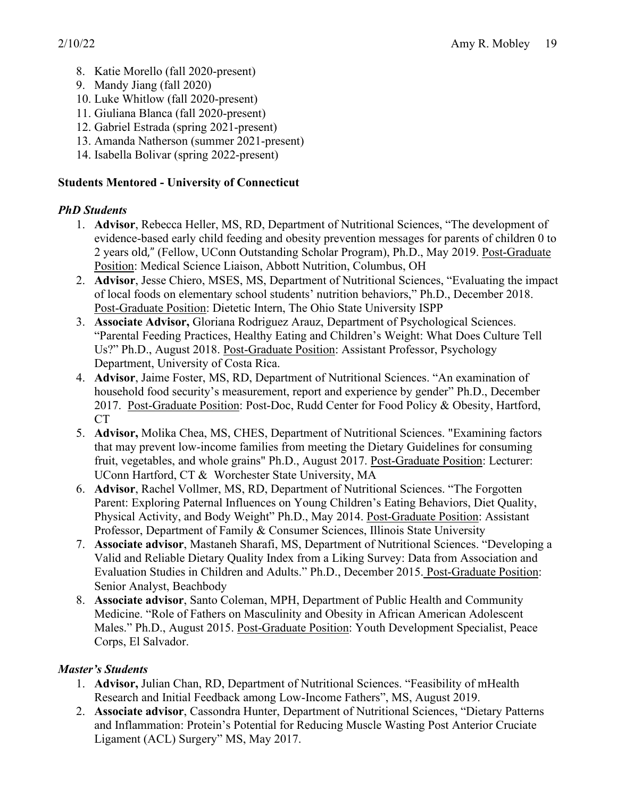- 8. Katie Morello (fall 2020-present)
- 9. Mandy Jiang (fall 2020)
- 10. Luke Whitlow (fall 2020-present)
- 11. Giuliana Blanca (fall 2020-present)
- 12. Gabriel Estrada (spring 2021-present)
- 13. Amanda Natherson (summer 2021-present)
- 14. Isabella Bolivar (spring 2022-present)

### **Students Mentored - University of Connecticut**

# *PhD Students*

- 1. **Advisor**, Rebecca Heller, MS, RD, Department of Nutritional Sciences, "The development of evidence-based early child feeding and obesity prevention messages for parents of children 0 to 2 years old," (Fellow, UConn Outstanding Scholar Program), Ph.D., May 2019. Post-Graduate Position: Medical Science Liaison, Abbott Nutrition, Columbus, OH
- 2. **Advisor**, Jesse Chiero, MSES, MS, Department of Nutritional Sciences, "Evaluating the impact of local foods on elementary school students' nutrition behaviors," Ph.D., December 2018. Post-Graduate Position: Dietetic Intern, The Ohio State University ISPP
- 3. **Associate Advisor,** Gloriana Rodriguez Arauz, Department of Psychological Sciences. "Parental Feeding Practices, Healthy Eating and Children's Weight: What Does Culture Tell Us?" Ph.D., August 2018. Post-Graduate Position: Assistant Professor, Psychology Department, University of Costa Rica.
- 4. **Advisor**, Jaime Foster, MS, RD, Department of Nutritional Sciences. "An examination of household food security's measurement, report and experience by gender" Ph.D., December 2017. Post-Graduate Position: Post-Doc, Rudd Center for Food Policy & Obesity, Hartford, CT
- 5. **Advisor,** Molika Chea, MS, CHES, Department of Nutritional Sciences. "Examining factors that may prevent low-income families from meeting the Dietary Guidelines for consuming fruit, vegetables, and whole grains" Ph.D., August 2017. Post-Graduate Position: Lecturer: UConn Hartford, CT & Worchester State University, MA
- 6. **Advisor**, Rachel Vollmer, MS, RD, Department of Nutritional Sciences. "The Forgotten Parent: Exploring Paternal Influences on Young Children's Eating Behaviors, Diet Quality, Physical Activity, and Body Weight" Ph.D., May 2014. Post-Graduate Position: Assistant Professor, Department of Family & Consumer Sciences, Illinois State University
- 7. **Associate advisor**, Mastaneh Sharafi, MS, Department of Nutritional Sciences. "Developing a Valid and Reliable Dietary Quality Index from a Liking Survey: Data from Association and Evaluation Studies in Children and Adults." Ph.D., December 2015. Post-Graduate Position: Senior Analyst, Beachbody
- 8. **Associate advisor**, Santo Coleman, MPH, Department of Public Health and Community Medicine. "Role of Fathers on Masculinity and Obesity in African American Adolescent Males." Ph.D., August 2015. Post-Graduate Position: Youth Development Specialist, Peace Corps, El Salvador.

# *Master's Students*

- 1. **Advisor,** Julian Chan, RD, Department of Nutritional Sciences. "Feasibility of mHealth Research and Initial Feedback among Low-Income Fathers", MS, August 2019.
- 2. **Associate advisor**, Cassondra Hunter, Department of Nutritional Sciences, "Dietary Patterns and Inflammation: Protein's Potential for Reducing Muscle Wasting Post Anterior Cruciate Ligament (ACL) Surgery" MS, May 2017.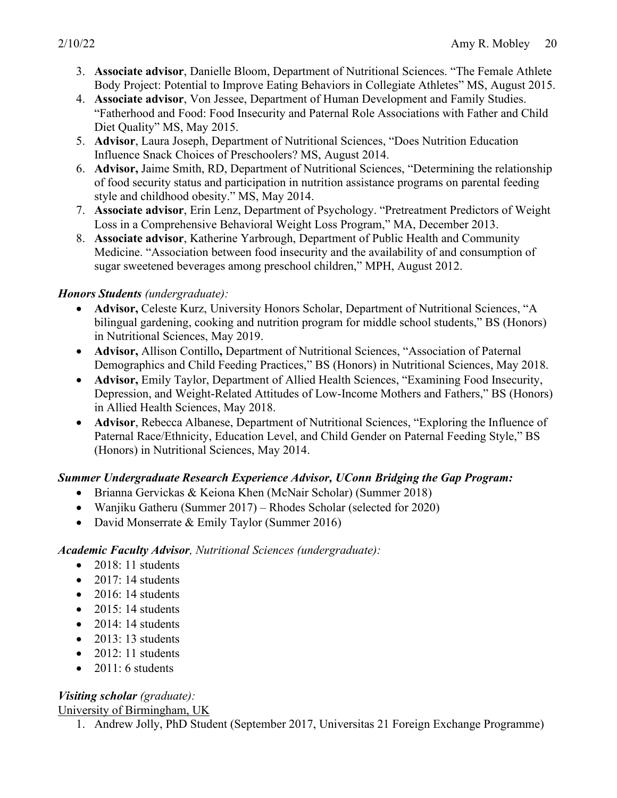- 3. **Associate advisor**, Danielle Bloom, Department of Nutritional Sciences. "The Female Athlete Body Project: Potential to Improve Eating Behaviors in Collegiate Athletes" MS, August 2015.
- 4. **Associate advisor**, Von Jessee, Department of Human Development and Family Studies. "Fatherhood and Food: Food Insecurity and Paternal Role Associations with Father and Child Diet Quality" MS, May 2015.
- 5. **Advisor**, Laura Joseph, Department of Nutritional Sciences, "Does Nutrition Education Influence Snack Choices of Preschoolers? MS, August 2014.
- 6. **Advisor,** Jaime Smith, RD, Department of Nutritional Sciences, "Determining the relationship of food security status and participation in nutrition assistance programs on parental feeding style and childhood obesity." MS, May 2014.
- 7. **Associate advisor**, Erin Lenz, Department of Psychology. "Pretreatment Predictors of Weight Loss in a Comprehensive Behavioral Weight Loss Program," MA, December 2013.
- 8. **Associate advisor**, Katherine Yarbrough, Department of Public Health and Community Medicine. "Association between food insecurity and the availability of and consumption of sugar sweetened beverages among preschool children," MPH, August 2012.

#### *Honors Students (undergraduate):*

- **Advisor,** Celeste Kurz, University Honors Scholar, Department of Nutritional Sciences, "A bilingual gardening, cooking and nutrition program for middle school students," BS (Honors) in Nutritional Sciences, May 2019.
- **Advisor,** Allison Contillo**,** Department of Nutritional Sciences, "Association of Paternal Demographics and Child Feeding Practices," BS (Honors) in Nutritional Sciences, May 2018.
- **Advisor, Emily Taylor, Department of Allied Health Sciences, "Examining Food Insecurity,** Depression, and Weight-Related Attitudes of Low-Income Mothers and Fathers," BS (Honors) in Allied Health Sciences, May 2018.
- **Advisor**, Rebecca Albanese, Department of Nutritional Sciences, "Exploring the Influence of Paternal Race/Ethnicity, Education Level, and Child Gender on Paternal Feeding Style," BS (Honors) in Nutritional Sciences, May 2014.

# *Summer Undergraduate Research Experience Advisor, UConn Bridging the Gap Program:*

- Brianna Gervickas & Keiona Khen (McNair Scholar) (Summer 2018)
- Wanjiku Gatheru (Summer 2017) Rhodes Scholar (selected for 2020)
- David Monserrate & Emily Taylor (Summer 2016)

#### *Academic Faculty Advisor, Nutritional Sciences (undergraduate):*

- 2018: 11 students
- $\bullet$  2017: 14 students
- $\bullet$  2016: 14 students
- $\bullet$  2015: 14 students
- $\bullet$  2014: 14 students
- $\bullet$  2013: 13 students
- $\bullet$  2012: 11 students
- $\bullet$  2011: 6 students

# *Visiting scholar (graduate):*

University of Birmingham, UK

1. Andrew Jolly, PhD Student (September 2017, Universitas 21 Foreign Exchange Programme)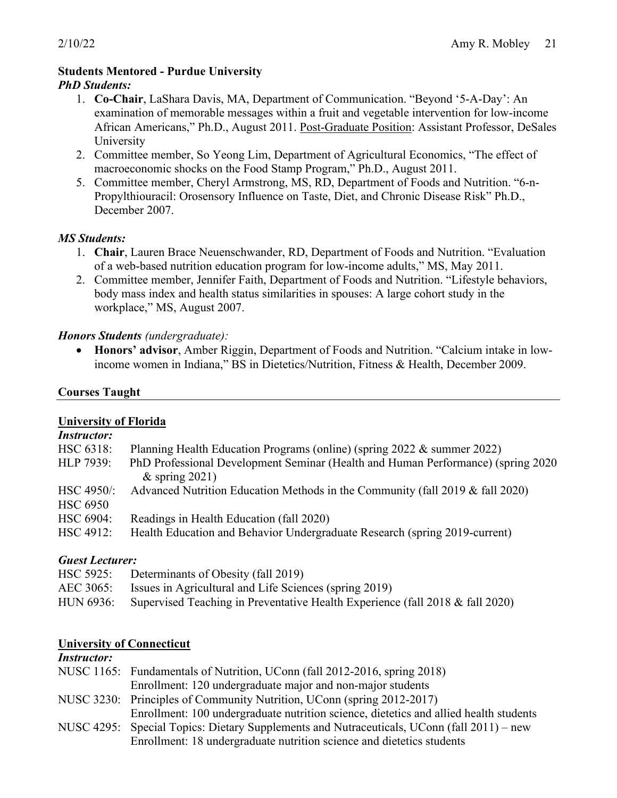### **Students Mentored - Purdue University**

#### *PhD Students:*

- 1. **Co-Chair**, LaShara Davis, MA, Department of Communication. "Beyond '5-A-Day': An examination of memorable messages within a fruit and vegetable intervention for low-income African Americans," Ph.D., August 2011. Post-Graduate Position: Assistant Professor, DeSales University
- 2. Committee member, So Yeong Lim, Department of Agricultural Economics, "The effect of macroeconomic shocks on the Food Stamp Program," Ph.D., August 2011.
- 5. Committee member, Cheryl Armstrong, MS, RD, Department of Foods and Nutrition. "6-n-Propylthiouracil: Orosensory Influence on Taste, Diet, and Chronic Disease Risk" Ph.D., December 2007.

#### *MS Students:*

- 1. **Chair**, Lauren Brace Neuenschwander, RD, Department of Foods and Nutrition. "Evaluation of a web-based nutrition education program for low-income adults," MS, May 2011.
- 2. Committee member, Jennifer Faith, Department of Foods and Nutrition. "Lifestyle behaviors, body mass index and health status similarities in spouses: A large cohort study in the workplace," MS, August 2007.

#### *Honors Students (undergraduate):*

• **Honors' advisor**, Amber Riggin, Department of Foods and Nutrition. "Calcium intake in lowincome women in Indiana," BS in Dietetics/Nutrition, Fitness & Health, December 2009.

#### **Courses Taught**

#### **University of Florida**

| <i>Instructor:</i>              |                                                                                                        |
|---------------------------------|--------------------------------------------------------------------------------------------------------|
| HSC 6318:                       | Planning Health Education Programs (online) (spring 2022 & summer 2022)                                |
| HLP 7939:                       | PhD Professional Development Seminar (Health and Human Performance) (spring 2020)<br>& spring $2021$ ) |
| $HSC 4950$ :<br><b>HSC 6950</b> | Advanced Nutrition Education Methods in the Community (fall 2019 & fall 2020)                          |
| HSC 6904:                       | Readings in Health Education (fall 2020)                                                               |
| HSC 4912:                       | Health Education and Behavior Undergraduate Research (spring 2019-current)                             |

#### *Guest Lecturer:*

| HSC 5925: Determinants of Obesity (fall 2019)                                           |
|-----------------------------------------------------------------------------------------|
| AEC 3065: Issues in Agricultural and Life Sciences (spring 2019)                        |
| HUN 6936: Supervised Teaching in Preventative Health Experience (fall 2018 & fall 2020) |

#### **University of Connecticut**

#### *Instructor:*

| NUSC 1165: Fundamentals of Nutrition, UConn (fall 2012-2016, spring 2018)                  |
|--------------------------------------------------------------------------------------------|
| Enrollment: 120 undergraduate major and non-major students                                 |
| NUSC 3230: Principles of Community Nutrition, UConn (spring 2012-2017)                     |
| Enrollment: 100 undergraduate nutrition science, dietetics and allied health students      |
| NUSC 4295: Special Topics: Dietary Supplements and Nutraceuticals, UConn (fall 2011) – new |
| Enrollment: 18 undergraduate nutrition science and dietetics students                      |
|                                                                                            |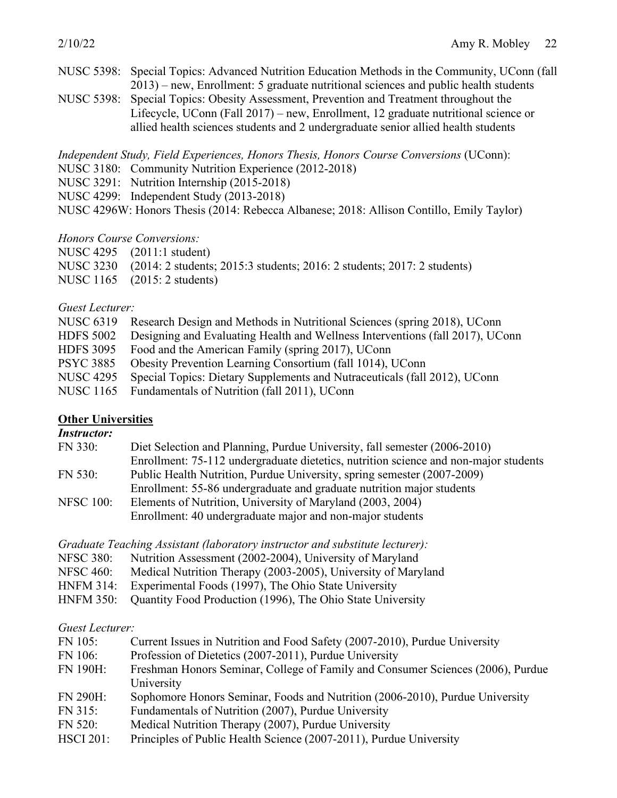- NUSC 5398: Special Topics: Advanced Nutrition Education Methods in the Community, UConn (fall 2013) – new, Enrollment: 5 graduate nutritional sciences and public health students
- NUSC 5398: Special Topics: Obesity Assessment, Prevention and Treatment throughout the Lifecycle, UConn (Fall 2017) – new, Enrollment, 12 graduate nutritional science or allied health sciences students and 2 undergraduate senior allied health students

*Independent Study, Field Experiences, Honors Thesis, Honors Course Conversions* (UConn):

- NUSC 3180: Community Nutrition Experience (2012-2018)
- NUSC 3291: Nutrition Internship (2015-2018)
- NUSC 4299: Independent Study (2013-2018)

NUSC 4296W: Honors Thesis (2014: Rebecca Albanese; 2018: Allison Contillo, Emily Taylor)

#### *Honors Course Conversions:*

| NUSC 4295 (2011:1 student)                                                                                                                                                                                                                                                                                          |  |
|---------------------------------------------------------------------------------------------------------------------------------------------------------------------------------------------------------------------------------------------------------------------------------------------------------------------|--|
| $\frac{1}{2}$ $\frac{1}{2}$ $\frac{1}{2}$ $\frac{1}{2}$ $\frac{1}{2}$ $\frac{1}{2}$ $\frac{1}{2}$ $\frac{1}{2}$ $\frac{1}{2}$ $\frac{1}{2}$ $\frac{1}{2}$ $\frac{1}{2}$ $\frac{1}{2}$ $\frac{1}{2}$ $\frac{1}{2}$ $\frac{1}{2}$ $\frac{1}{2}$ $\frac{1}{2}$ $\frac{1}{2}$ $\frac{1}{2}$ $\frac{1}{2}$ $\frac{1}{2}$ |  |

- NUSC 3230 (2014: 2 students; 2015:3 students; 2016: 2 students; 2017: 2 students)
- NUSC 1165 (2015: 2 students)

#### *Guest Lecturer:*

|                  | NUSC 6319 Research Design and Methods in Nutritional Sciences (spring 2018), UConn |
|------------------|------------------------------------------------------------------------------------|
| <b>HDFS 5002</b> | Designing and Evaluating Health and Wellness Interventions (fall 2017), UConn      |
|                  | HDFS 3095 Food and the American Family (spring 2017), UConn                        |
| <b>PSYC 3885</b> | Obesity Prevention Learning Consortium (fall 1014), UConn                          |
| <b>NUSC 4295</b> | Special Topics: Dietary Supplements and Nutraceuticals (fall 2012), UConn          |
|                  | NUSC 1165 Fundamentals of Nutrition (fall 2011), UConn                             |
|                  |                                                                                    |

#### **Other Universities**

### *Instructor:*

| FN 330:          | Diet Selection and Planning, Purdue University, fall semester (2006-2010)            |
|------------------|--------------------------------------------------------------------------------------|
|                  | Enrollment: 75-112 undergraduate dietetics, nutrition science and non-major students |
| FN 530:          | Public Health Nutrition, Purdue University, spring semester (2007-2009)              |
|                  | Enrollment: 55-86 undergraduate and graduate nutrition major students                |
| <b>NFSC 100:</b> | Elements of Nutrition, University of Maryland (2003, 2004)                           |
|                  | Enrollment: 40 undergraduate major and non-major students                            |
|                  |                                                                                      |

*Graduate Teaching Assistant (laboratory instructor and substitute lecturer):*

- NFSC 380: Nutrition Assessment (2002-2004), University of Maryland
- NFSC 460: Medical Nutrition Therapy (2003-2005), University of Maryland
- HNFM 314: Experimental Foods (1997), The Ohio State University
- HNFM 350: Quantity Food Production (1996), The Ohio State University

#### *Guest Lecturer:*

| FN 105:          | Current Issues in Nutrition and Food Safety (2007-2010), Purdue University      |
|------------------|---------------------------------------------------------------------------------|
| FN 106:          | Profession of Dietetics (2007-2011), Purdue University                          |
| <b>FN 190H:</b>  | Freshman Honors Seminar, College of Family and Consumer Sciences (2006), Purdue |
|                  | University                                                                      |
| <b>FN 290H:</b>  | Sophomore Honors Seminar, Foods and Nutrition (2006-2010), Purdue University    |
| FN 315:          | Fundamentals of Nutrition (2007), Purdue University                             |
| FN 520:          | Medical Nutrition Therapy (2007), Purdue University                             |
| <b>HSCI 201:</b> | Principles of Public Health Science (2007-2011), Purdue University              |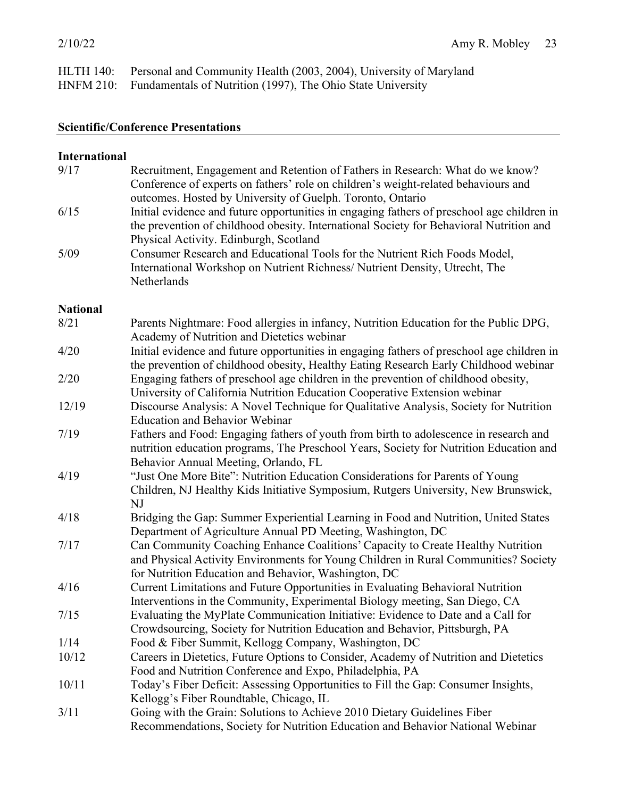| HLTH 140: Personal and Community Health (2003, 2004), University of Maryland |
|------------------------------------------------------------------------------|
| HNFM 210: Fundamentals of Nutrition (1997), The Ohio State University        |

#### **Scientific/Conference Presentations**

#### **International** 9/17 Recruitment, Engagement and Retention of Fathers in Research: What do we know? Conference of experts on fathers' role on children's weight-related behaviours and outcomes. Hosted by University of Guelph. Toronto, Ontario 6/15 Initial evidence and future opportunities in engaging fathers of preschool age children in the prevention of childhood obesity. International Society for Behavioral Nutrition and Physical Activity. Edinburgh, Scotland 5/09 Consumer Research and Educational Tools for the Nutrient Rich Foods Model, International Workshop on Nutrient Richness/ Nutrient Density, Utrecht, The Netherlands **National** 8/21 Parents Nightmare: Food allergies in infancy, Nutrition Education for the Public DPG, Academy of Nutrition and Dietetics webinar 4/20 Initial evidence and future opportunities in engaging fathers of preschool age children in the prevention of childhood obesity, Healthy Eating Research Early Childhood webinar 2/20 Engaging fathers of preschool age children in the prevention of childhood obesity, University of California Nutrition Education Cooperative Extension webinar 12/19 Discourse Analysis: A Novel Technique for Qualitative Analysis, Society for Nutrition Education and Behavior Webinar 7/19 Fathers and Food: Engaging fathers of youth from birth to adolescence in research and nutrition education programs, The Preschool Years, Society for Nutrition Education and Behavior Annual Meeting, Orlando, FL 4/19 "Just One More Bite": Nutrition Education Considerations for Parents of Young Children, NJ Healthy Kids Initiative Symposium, Rutgers University, New Brunswick, NJ 4/18 Bridging the Gap: Summer Experiential Learning in Food and Nutrition, United States Department of Agriculture Annual PD Meeting, Washington, DC 7/17 Can Community Coaching Enhance Coalitions' Capacity to Create Healthy Nutrition and Physical Activity Environments for Young Children in Rural Communities? Society for Nutrition Education and Behavior, Washington, DC 4/16 Current Limitations and Future Opportunities in Evaluating Behavioral Nutrition Interventions in the Community, Experimental Biology meeting, San Diego, CA 7/15 Evaluating the MyPlate Communication Initiative: Evidence to Date and a Call for Crowdsourcing, Society for Nutrition Education and Behavior, Pittsburgh, PA 1/14 Food & Fiber Summit, Kellogg Company, Washington, DC 10/12 Careers in Dietetics, Future Options to Consider, Academy of Nutrition and Dietetics Food and Nutrition Conference and Expo, Philadelphia, PA 10/11 Today's Fiber Deficit: Assessing Opportunities to Fill the Gap: Consumer Insights, Kellogg's Fiber Roundtable, Chicago, IL 3/11 Going with the Grain: Solutions to Achieve 2010 Dietary Guidelines Fiber Recommendations, Society for Nutrition Education and Behavior National Webinar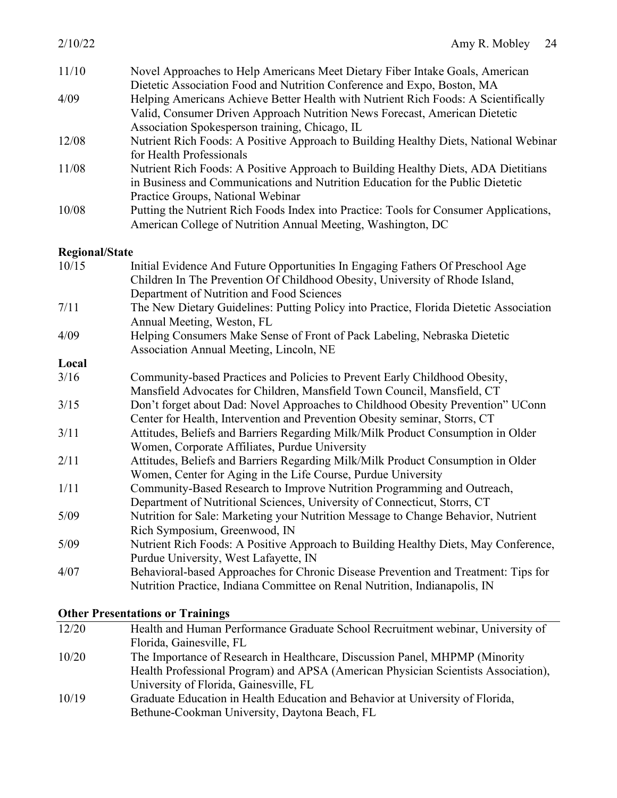| 2/10/22               | Amy R. Mobley<br>24                                                                                                                                                                                                |
|-----------------------|--------------------------------------------------------------------------------------------------------------------------------------------------------------------------------------------------------------------|
| 11/10                 | Novel Approaches to Help Americans Meet Dietary Fiber Intake Goals, American<br>Dietetic Association Food and Nutrition Conference and Expo, Boston, MA                                                            |
| 4/09                  | Helping Americans Achieve Better Health with Nutrient Rich Foods: A Scientifically<br>Valid, Consumer Driven Approach Nutrition News Forecast, American Dietetic<br>Association Spokesperson training, Chicago, IL |
| 12/08                 | Nutrient Rich Foods: A Positive Approach to Building Healthy Diets, National Webinar<br>for Health Professionals                                                                                                   |
| 11/08                 | Nutrient Rich Foods: A Positive Approach to Building Healthy Diets, ADA Dietitians<br>in Business and Communications and Nutrition Education for the Public Dietetic<br>Practice Groups, National Webinar          |
| 10/08                 | Putting the Nutrient Rich Foods Index into Practice: Tools for Consumer Applications,<br>American College of Nutrition Annual Meeting, Washington, DC                                                              |
| <b>Regional/State</b> |                                                                                                                                                                                                                    |
| 10/15                 | Initial Evidence And Future Opportunities In Engaging Fathers Of Preschool Age<br>Children In The Prevention Of Childhood Obesity, University of Rhode Island,<br>Department of Nutrition and Food Sciences        |
| 7/11                  | The New Dietary Guidelines: Putting Policy into Practice, Florida Dietetic Association<br>Annual Meeting, Weston, FL                                                                                               |
| 4/09                  | Helping Consumers Make Sense of Front of Pack Labeling, Nebraska Dietetic<br>Association Annual Meeting, Lincoln, NE                                                                                               |
| Local                 |                                                                                                                                                                                                                    |
| 3/16                  | Community-based Practices and Policies to Prevent Early Childhood Obesity,<br>Mansfield Advocates for Children, Mansfield Town Council, Mansfield, CT                                                              |
| 3/15                  | Don't forget about Dad: Novel Approaches to Childhood Obesity Prevention" UConn<br>Center for Health, Intervention and Prevention Obesity seminar, Storrs, CT                                                      |
| 3/11                  | Attitudes, Beliefs and Barriers Regarding Milk/Milk Product Consumption in Older<br>Women, Corporate Affiliates, Purdue University                                                                                 |
| 2/11                  | Attitudes, Deliofs and Demicus Decending Milly Milly Ducduct Consumption in Olden                                                                                                                                  |

- 2/11 Attitudes, Beliefs and Barriers Regarding Milk/Milk Product Consumption in Older Women, Center for Aging in the Life Course, Purdue University
- 1/11 Community-Based Research to Improve Nutrition Programming and Outreach, Department of Nutritional Sciences, University of Connecticut, Storrs, CT
- 5/09 Nutrition for Sale: Marketing your Nutrition Message to Change Behavior, Nutrient Rich Symposium, Greenwood, IN
- 5/09 Nutrient Rich Foods: A Positive Approach to Building Healthy Diets, May Conference, Purdue University, West Lafayette, IN
- 4/07 Behavioral-based Approaches for Chronic Disease Prevention and Treatment: Tips for Nutrition Practice, Indiana Committee on Renal Nutrition, Indianapolis, IN

#### **Other Presentations or Trainings**

| 12/20 | Health and Human Performance Graduate School Recruitment webinar, University of    |
|-------|------------------------------------------------------------------------------------|
|       | Florida, Gainesville, FL                                                           |
| 10/20 | The Importance of Research in Healthcare, Discussion Panel, MHPMP (Minority        |
|       | Health Professional Program) and APSA (American Physician Scientists Association), |
|       | University of Florida, Gainesville, FL                                             |
| 10/19 | Graduate Education in Health Education and Behavior at University of Florida,      |
|       | Bethune-Cookman University, Daytona Beach, FL                                      |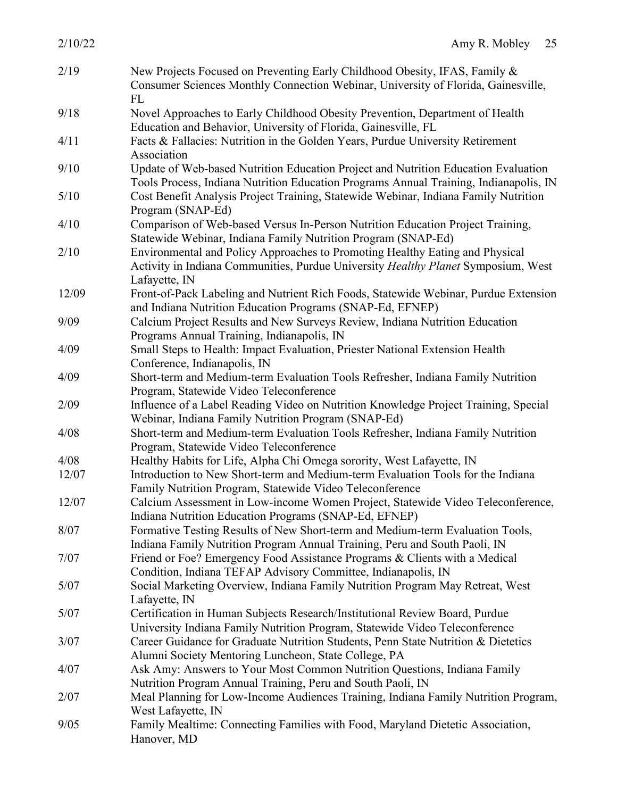| 2/10/22 | Amy R. Mobley<br>25                                                                                                                                                                |
|---------|------------------------------------------------------------------------------------------------------------------------------------------------------------------------------------|
| 2/19    | New Projects Focused on Preventing Early Childhood Obesity, IFAS, Family &<br>Consumer Sciences Monthly Connection Webinar, University of Florida, Gainesville,<br>FL              |
| 9/18    | Novel Approaches to Early Childhood Obesity Prevention, Department of Health<br>Education and Behavior, University of Florida, Gainesville, FL                                     |
| 4/11    | Facts & Fallacies: Nutrition in the Golden Years, Purdue University Retirement<br>Association                                                                                      |
| 9/10    | Update of Web-based Nutrition Education Project and Nutrition Education Evaluation<br>Tools Process, Indiana Nutrition Education Programs Annual Training, Indianapolis, IN        |
| 5/10    | Cost Benefit Analysis Project Training, Statewide Webinar, Indiana Family Nutrition<br>Program (SNAP-Ed)                                                                           |
| 4/10    | Comparison of Web-based Versus In-Person Nutrition Education Project Training,<br>Statewide Webinar, Indiana Family Nutrition Program (SNAP-Ed)                                    |
| 2/10    | Environmental and Policy Approaches to Promoting Healthy Eating and Physical<br>Activity in Indiana Communities, Purdue University Healthy Planet Symposium, West<br>Lafayette, IN |
| 12/09   | Front-of-Pack Labeling and Nutrient Rich Foods, Statewide Webinar, Purdue Extension<br>and Indiana Nutrition Education Programs (SNAP-Ed, EFNEP)                                   |
| 9/09    | Calcium Project Results and New Surveys Review, Indiana Nutrition Education<br>Programs Annual Training, Indianapolis, IN                                                          |
| 4/09    | Small Steps to Health: Impact Evaluation, Priester National Extension Health<br>Conference, Indianapolis, IN                                                                       |
| 4/09    | Short-term and Medium-term Evaluation Tools Refresher, Indiana Family Nutrition<br>Program, Statewide Video Teleconference                                                         |
| 2/09    | Influence of a Label Reading Video on Nutrition Knowledge Project Training, Special<br>Webinar, Indiana Family Nutrition Program (SNAP-Ed)                                         |
| 4/08    | Short-term and Medium-term Evaluation Tools Refresher, Indiana Family Nutrition<br>Program, Statewide Video Teleconference                                                         |
| 4/08    | Healthy Habits for Life, Alpha Chi Omega sorority, West Lafayette, IN                                                                                                              |
| 12/07   | Introduction to New Short-term and Medium-term Evaluation Tools for the Indiana<br>Family Nutrition Program, Statewide Video Teleconference                                        |
| 12/07   | Calcium Assessment in Low-income Women Project, Statewide Video Teleconference,<br>Indiana Nutrition Education Programs (SNAP-Ed, EFNEP)                                           |
| 8/07    | Formative Testing Results of New Short-term and Medium-term Evaluation Tools,<br>Indiana Family Nutrition Program Annual Training, Peru and South Paoli, IN                        |
| 7/07    | Friend or Foe? Emergency Food Assistance Programs & Clients with a Medical<br>Condition, Indiana TEFAP Advisory Committee, Indianapolis, IN                                        |
| 5/07    | Social Marketing Overview, Indiana Family Nutrition Program May Retreat, West<br>Lafayette, IN                                                                                     |
| 5/07    | Certification in Human Subjects Research/Institutional Review Board, Purdue<br>University Indiana Family Nutrition Program, Statewide Video Teleconference                         |
| 3/07    | Career Guidance for Graduate Nutrition Students, Penn State Nutrition & Dietetics<br>Alumni Society Mentoring Luncheon, State College, PA                                          |
| 4/07    | Ask Amy: Answers to Your Most Common Nutrition Questions, Indiana Family<br>Nutrition Program Annual Training, Peru and South Paoli, IN                                            |
| 2/07    | Meal Planning for Low-Income Audiences Training, Indiana Family Nutrition Program,<br>West Lafayette, IN                                                                           |
| 9/05    | Family Mealtime: Connecting Families with Food, Maryland Dietetic Association,<br>Hanover, MD                                                                                      |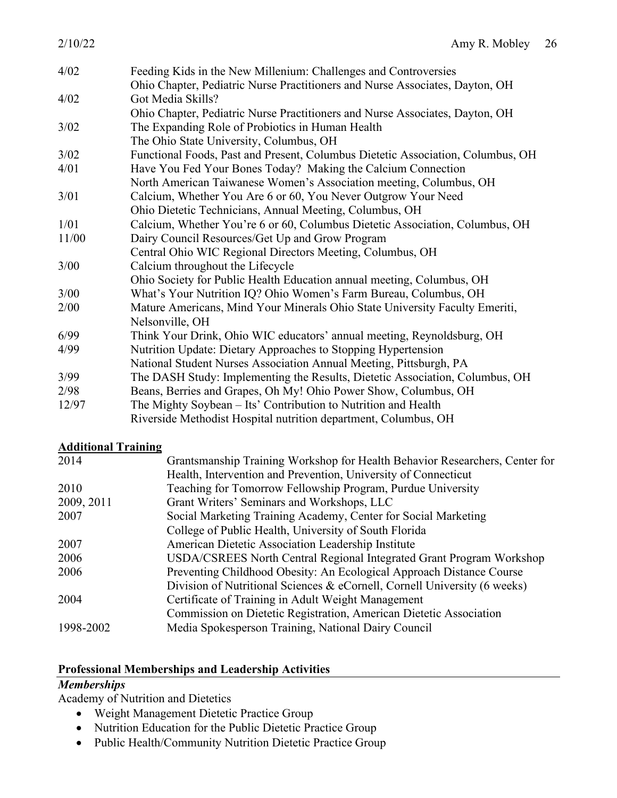| 2/10/22 | Amy R. Mobley                                                                   | 26 |
|---------|---------------------------------------------------------------------------------|----|
| 4/02    | Feeding Kids in the New Millenium: Challenges and Controversies                 |    |
|         | Ohio Chapter, Pediatric Nurse Practitioners and Nurse Associates, Dayton, OH    |    |
| 4/02    | Got Media Skills?                                                               |    |
|         | Ohio Chapter, Pediatric Nurse Practitioners and Nurse Associates, Dayton, OH    |    |
| 3/02    | The Expanding Role of Probiotics in Human Health                                |    |
|         | The Ohio State University, Columbus, OH                                         |    |
| 3/02    | Functional Foods, Past and Present, Columbus Dietetic Association, Columbus, OH |    |
| 4/01    | Have You Fed Your Bones Today? Making the Calcium Connection                    |    |
|         | North American Taiwanese Women's Association meeting, Columbus, OH              |    |
| 3/01    | Calcium, Whether You Are 6 or 60, You Never Outgrow Your Need                   |    |
|         | Ohio Dietetic Technicians, Annual Meeting, Columbus, OH                         |    |
| 1/01    | Calcium, Whether You're 6 or 60, Columbus Dietetic Association, Columbus, OH    |    |
| 11/00   | Dairy Council Resources/Get Up and Grow Program                                 |    |
|         | Central Ohio WIC Regional Directors Meeting, Columbus, OH                       |    |
| 3/00    | Calcium throughout the Lifecycle                                                |    |
|         | Ohio Society for Public Health Education annual meeting, Columbus, OH           |    |
| 3/00    | What's Your Nutrition IQ? Ohio Women's Farm Bureau, Columbus, OH                |    |
| 2/00    | Mature Americans, Mind Your Minerals Ohio State University Faculty Emeriti,     |    |
|         | Nelsonville, OH                                                                 |    |
| 6/99    | Think Your Drink, Ohio WIC educators' annual meeting, Reynoldsburg, OH          |    |
| 4/99    | Nutrition Update: Dietary Approaches to Stopping Hypertension                   |    |
|         | National Student Nurses Association Annual Meeting, Pittsburgh, PA              |    |
| 3/99    | The DASH Study: Implementing the Results, Dietetic Association, Columbus, OH    |    |
| 2/98    | Beans, Berries and Grapes, Oh My! Ohio Power Show, Columbus, OH                 |    |
| 12/97   | The Mighty Soybean – Its' Contribution to Nutrition and Health                  |    |
|         | Riverside Methodist Hospital nutrition department, Columbus, OH                 |    |

### **Additional Training**

| 2014       | Grantsmanship Training Workshop for Health Behavior Researchers, Center for |
|------------|-----------------------------------------------------------------------------|
|            | Health, Intervention and Prevention, University of Connecticut              |
| 2010       | Teaching for Tomorrow Fellowship Program, Purdue University                 |
| 2009, 2011 | Grant Writers' Seminars and Workshops, LLC                                  |
| 2007       | Social Marketing Training Academy, Center for Social Marketing              |
|            | College of Public Health, University of South Florida                       |
| 2007       | American Dietetic Association Leadership Institute                          |
| 2006       | USDA/CSREES North Central Regional Integrated Grant Program Workshop        |
| 2006       | Preventing Childhood Obesity: An Ecological Approach Distance Course        |
|            | Division of Nutritional Sciences & eCornell, Cornell University (6 weeks)   |
| 2004       | Certificate of Training in Adult Weight Management                          |
|            | Commission on Dietetic Registration, American Dietetic Association          |
| 1998-2002  | Media Spokesperson Training, National Dairy Council                         |

#### **Professional Memberships and Leadership Activities**

# *Memberships*

Academy of Nutrition and Dietetics

- Weight Management Dietetic Practice Group
- Nutrition Education for the Public Dietetic Practice Group
- Public Health/Community Nutrition Dietetic Practice Group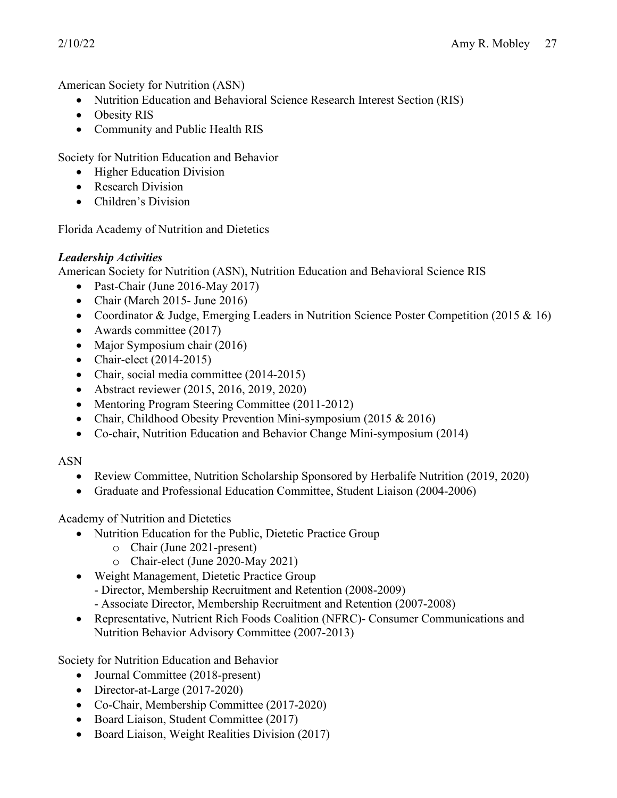American Society for Nutrition (ASN)

- Nutrition Education and Behavioral Science Research Interest Section (RIS)
- Obesity RIS
- Community and Public Health RIS

Society for Nutrition Education and Behavior

- Higher Education Division
- Research Division
- Children's Division

Florida Academy of Nutrition and Dietetics

# *Leadership Activities*

American Society for Nutrition (ASN), Nutrition Education and Behavioral Science RIS

- Past-Chair (June 2016-May 2017)
- Chair (March 2015- June 2016)
- Coordinator & Judge, Emerging Leaders in Nutrition Science Poster Competition (2015 & 16)
- Awards committee (2017)
- Major Symposium chair (2016)
- Chair-elect  $(2014-2015)$
- Chair, social media committee (2014-2015)
- Abstract reviewer (2015, 2016, 2019, 2020)
- Mentoring Program Steering Committee (2011-2012)
- Chair, Childhood Obesity Prevention Mini-symposium (2015 & 2016)
- Co-chair, Nutrition Education and Behavior Change Mini-symposium (2014)

# ASN

- Review Committee, Nutrition Scholarship Sponsored by Herbalife Nutrition (2019, 2020)
- Graduate and Professional Education Committee, Student Liaison (2004-2006)

Academy of Nutrition and Dietetics

- Nutrition Education for the Public, Dietetic Practice Group
	- o Chair (June 2021-present)
	- o Chair-elect (June 2020-May 2021)
- Weight Management, Dietetic Practice Group
	- Director, Membership Recruitment and Retention (2008-2009)
	- Associate Director, Membership Recruitment and Retention (2007-2008)
- Representative, Nutrient Rich Foods Coalition (NFRC)- Consumer Communications and Nutrition Behavior Advisory Committee (2007-2013)

Society for Nutrition Education and Behavior

- Journal Committee (2018-present)
- Director-at-Large (2017-2020)
- Co-Chair, Membership Committee (2017-2020)
- Board Liaison, Student Committee (2017)
- Board Liaison, Weight Realities Division (2017)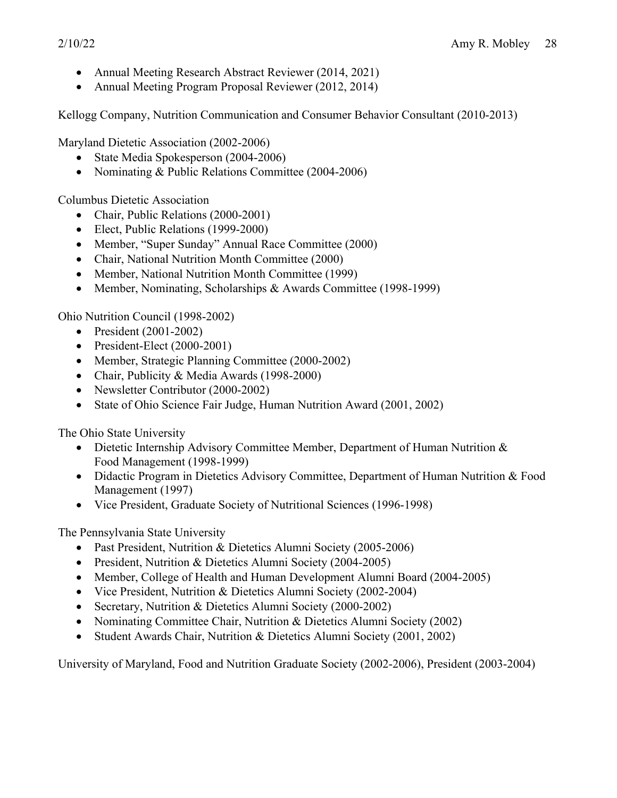- Annual Meeting Research Abstract Reviewer (2014, 2021)
- Annual Meeting Program Proposal Reviewer (2012, 2014)

Kellogg Company, Nutrition Communication and Consumer Behavior Consultant (2010-2013)

Maryland Dietetic Association (2002-2006)

- State Media Spokesperson (2004-2006)
- Nominating & Public Relations Committee (2004-2006)

Columbus Dietetic Association

- Chair, Public Relations (2000-2001)
- Elect, Public Relations (1999-2000)
- Member, "Super Sunday" Annual Race Committee (2000)
- Chair, National Nutrition Month Committee (2000)
- Member, National Nutrition Month Committee (1999)
- Member, Nominating, Scholarships & Awards Committee (1998-1999)

Ohio Nutrition Council (1998-2002)

- President (2001-2002)
- President-Elect (2000-2001)
- Member, Strategic Planning Committee (2000-2002)
- Chair, Publicity & Media Awards (1998-2000)
- Newsletter Contributor (2000-2002)
- State of Ohio Science Fair Judge, Human Nutrition Award (2001, 2002)

The Ohio State University

- Dietetic Internship Advisory Committee Member, Department of Human Nutrition & Food Management (1998-1999)
- Didactic Program in Dietetics Advisory Committee, Department of Human Nutrition & Food Management (1997)
- Vice President, Graduate Society of Nutritional Sciences (1996-1998)

The Pennsylvania State University

- Past President, Nutrition & Dietetics Alumni Society (2005-2006)
- President, Nutrition & Dietetics Alumni Society (2004-2005)
- Member, College of Health and Human Development Alumni Board (2004-2005)
- Vice President, Nutrition & Dietetics Alumni Society (2002-2004)
- Secretary, Nutrition & Dietetics Alumni Society (2000-2002)
- Nominating Committee Chair, Nutrition & Dietetics Alumni Society (2002)
- Student Awards Chair, Nutrition & Dietetics Alumni Society (2001, 2002)

University of Maryland, Food and Nutrition Graduate Society (2002-2006), President (2003-2004)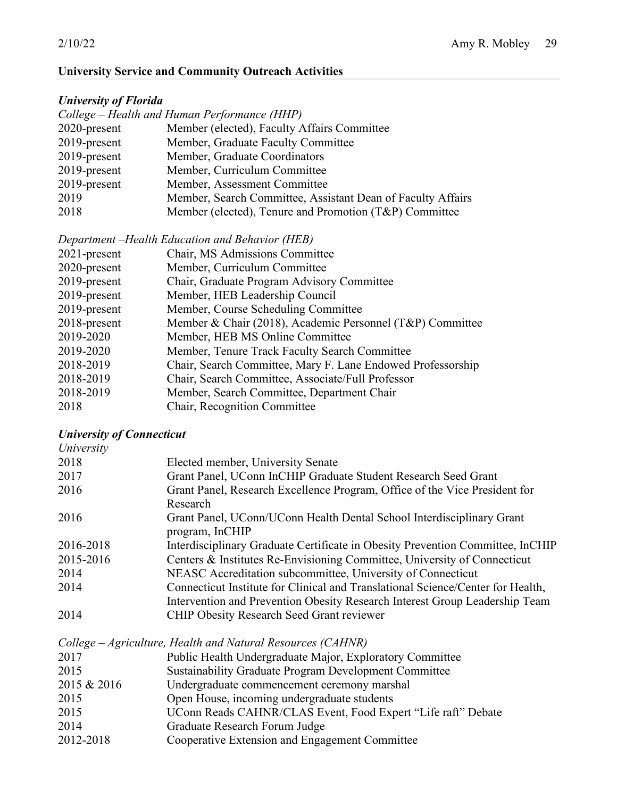### **University Service and Community Outreach Activities**

### *University of Florida*

|                 | College – Health and Human Performance (HHP)                |
|-----------------|-------------------------------------------------------------|
| 2020-present    | Member (elected), Faculty Affairs Committee                 |
| $2019$ -present | Member, Graduate Faculty Committee                          |
| 2019-present    | Member, Graduate Coordinators                               |
| $2019$ -present | Member, Curriculum Committee                                |
| 2019-present    | Member, Assessment Committee                                |
| 2019            | Member, Search Committee, Assistant Dean of Faculty Affairs |
| 2018            | Member (elected), Tenure and Promotion (T&P) Committee      |
|                 |                                                             |

*Department –Health Education and Behavior (HEB)*

| $2021$ -present | Chair, MS Admissions Committee                              |
|-----------------|-------------------------------------------------------------|
| 2020-present    | Member, Curriculum Committee                                |
| 2019-present    | Chair, Graduate Program Advisory Committee                  |
| 2019-present    | Member, HEB Leadership Council                              |
| 2019-present    | Member, Course Scheduling Committee                         |
| 2018-present    | Member & Chair (2018), Academic Personnel (T&P) Committee   |
| 2019-2020       | Member, HEB MS Online Committee                             |
| 2019-2020       | Member, Tenure Track Faculty Search Committee               |
| 2018-2019       | Chair, Search Committee, Mary F. Lane Endowed Professorship |
| 2018-2019       | Chair, Search Committee, Associate/Full Professor           |
| 2018-2019       | Member, Search Committee, Department Chair                  |
| 2018            | Chair, Recognition Committee                                |
|                 |                                                             |

# *University of Connecticut*

| University  |                                                                                                                                                                |
|-------------|----------------------------------------------------------------------------------------------------------------------------------------------------------------|
| 2018        | Elected member, University Senate                                                                                                                              |
| 2017        | Grant Panel, UConn InCHIP Graduate Student Research Seed Grant                                                                                                 |
| 2016        | Grant Panel, Research Excellence Program, Office of the Vice President for<br>Research                                                                         |
| 2016        | Grant Panel, UConn/UConn Health Dental School Interdisciplinary Grant<br>program, InCHIP                                                                       |
| 2016-2018   | Interdisciplinary Graduate Certificate in Obesity Prevention Committee, InCHIP                                                                                 |
| 2015-2016   | Centers & Institutes Re-Envisioning Committee, University of Connecticut                                                                                       |
| 2014        | NEASC Accreditation subcommittee, University of Connecticut                                                                                                    |
| 2014        | Connecticut Institute for Clinical and Translational Science/Center for Health,<br>Intervention and Prevention Obesity Research Interest Group Leadership Team |
| 2014        | <b>CHIP Obesity Research Seed Grant reviewer</b>                                                                                                               |
|             | College – Agriculture, Health and Natural Resources (CAHNR)                                                                                                    |
| 2017        | Public Health Undergraduate Major, Exploratory Committee                                                                                                       |
| 2015        | <b>Sustainability Graduate Program Development Committee</b>                                                                                                   |
| 2015 & 2016 | Undergraduate commencement ceremony marshal                                                                                                                    |
| 2015        | Open House, incoming undergraduate students                                                                                                                    |
| 2015        | UConn Reads CAHNR/CLAS Event, Food Expert "Life raft" Debate                                                                                                   |
| 2014        | Graduate Research Forum Judge                                                                                                                                  |
| 2012-2018   | Cooperative Extension and Engagement Committee                                                                                                                 |
|             |                                                                                                                                                                |